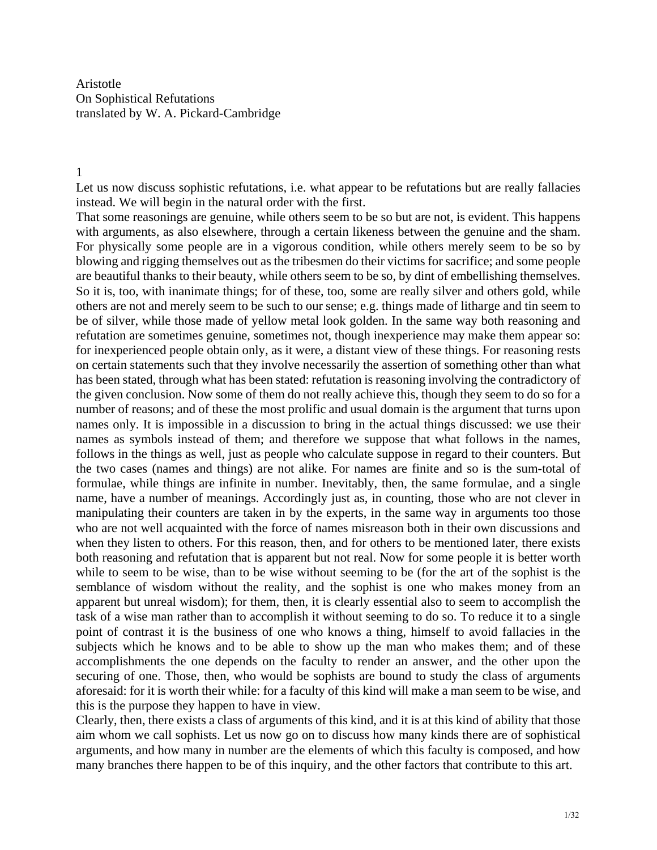Aristotle On Sophistical Refutations translated by W. A. Pickard-Cambridge

1

Let us now discuss sophistic refutations, i.e. what appear to be refutations but are really fallacies instead. We will begin in the natural order with the first.

That some reasonings are genuine, while others seem to be so but are not, is evident. This happens with arguments, as also elsewhere, through a certain likeness between the genuine and the sham. For physically some people are in a vigorous condition, while others merely seem to be so by blowing and rigging themselves out as the tribesmen do their victims for sacrifice; and some people are beautiful thanks to their beauty, while others seem to be so, by dint of embellishing themselves. So it is, too, with inanimate things; for of these, too, some are really silver and others gold, while others are not and merely seem to be such to our sense; e.g. things made of litharge and tin seem to be of silver, while those made of yellow metal look golden. In the same way both reasoning and refutation are sometimes genuine, sometimes not, though inexperience may make them appear so: for inexperienced people obtain only, as it were, a distant view of these things. For reasoning rests on certain statements such that they involve necessarily the assertion of something other than what has been stated, through what has been stated: refutation is reasoning involving the contradictory of the given conclusion. Now some of them do not really achieve this, though they seem to do so for a number of reasons; and of these the most prolific and usual domain is the argument that turns upon names only. It is impossible in a discussion to bring in the actual things discussed: we use their names as symbols instead of them; and therefore we suppose that what follows in the names, follows in the things as well, just as people who calculate suppose in regard to their counters. But the two cases (names and things) are not alike. For names are finite and so is the sum-total of formulae, while things are infinite in number. Inevitably, then, the same formulae, and a single name, have a number of meanings. Accordingly just as, in counting, those who are not clever in manipulating their counters are taken in by the experts, in the same way in arguments too those who are not well acquainted with the force of names misreason both in their own discussions and when they listen to others. For this reason, then, and for others to be mentioned later, there exists both reasoning and refutation that is apparent but not real. Now for some people it is better worth while to seem to be wise, than to be wise without seeming to be (for the art of the sophist is the semblance of wisdom without the reality, and the sophist is one who makes money from an apparent but unreal wisdom); for them, then, it is clearly essential also to seem to accomplish the task of a wise man rather than to accomplish it without seeming to do so. To reduce it to a single point of contrast it is the business of one who knows a thing, himself to avoid fallacies in the subjects which he knows and to be able to show up the man who makes them; and of these accomplishments the one depends on the faculty to render an answer, and the other upon the securing of one. Those, then, who would be sophists are bound to study the class of arguments aforesaid: for it is worth their while: for a faculty of this kind will make a man seem to be wise, and this is the purpose they happen to have in view.

Clearly, then, there exists a class of arguments of this kind, and it is at this kind of ability that those aim whom we call sophists. Let us now go on to discuss how many kinds there are of sophistical arguments, and how many in number are the elements of which this faculty is composed, and how many branches there happen to be of this inquiry, and the other factors that contribute to this art.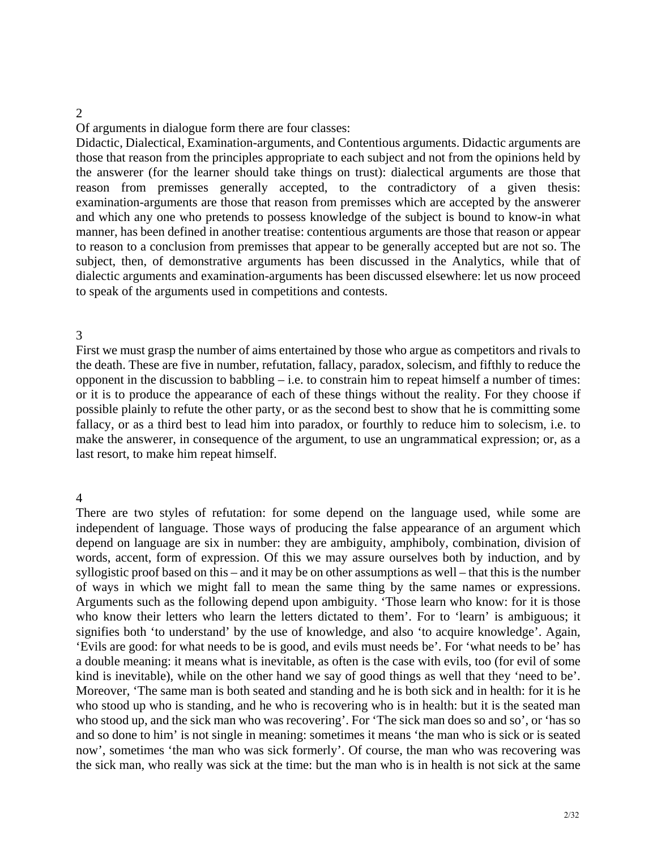Of arguments in dialogue form there are four classes:

Didactic, Dialectical, Examination-arguments, and Contentious arguments. Didactic arguments are those that reason from the principles appropriate to each subject and not from the opinions held by the answerer (for the learner should take things on trust): dialectical arguments are those that reason from premisses generally accepted, to the contradictory of a given thesis: examination-arguments are those that reason from premisses which are accepted by the answerer and which any one who pretends to possess knowledge of the subject is bound to know-in what manner, has been defined in another treatise: contentious arguments are those that reason or appear to reason to a conclusion from premisses that appear to be generally accepted but are not so. The subject, then, of demonstrative arguments has been discussed in the Analytics, while that of dialectic arguments and examination-arguments has been discussed elsewhere: let us now proceed to speak of the arguments used in competitions and contests.

# 3

2

First we must grasp the number of aims entertained by those who argue as competitors and rivals to the death. These are five in number, refutation, fallacy, paradox, solecism, and fifthly to reduce the opponent in the discussion to babbling – i.e. to constrain him to repeat himself a number of times: or it is to produce the appearance of each of these things without the reality. For they choose if possible plainly to refute the other party, or as the second best to show that he is committing some fallacy, or as a third best to lead him into paradox, or fourthly to reduce him to solecism, i.e. to make the answerer, in consequence of the argument, to use an ungrammatical expression; or, as a last resort, to make him repeat himself.

# 4

There are two styles of refutation: for some depend on the language used, while some are independent of language. Those ways of producing the false appearance of an argument which depend on language are six in number: they are ambiguity, amphiboly, combination, division of words, accent, form of expression. Of this we may assure ourselves both by induction, and by syllogistic proof based on this – and it may be on other assumptions as well – that this is the number of ways in which we might fall to mean the same thing by the same names or expressions. Arguments such as the following depend upon ambiguity. 'Those learn who know: for it is those who know their letters who learn the letters dictated to them'. For to 'learn' is ambiguous; it signifies both 'to understand' by the use of knowledge, and also 'to acquire knowledge'. Again, 'Evils are good: for what needs to be is good, and evils must needs be'. For 'what needs to be' has a double meaning: it means what is inevitable, as often is the case with evils, too (for evil of some kind is inevitable), while on the other hand we say of good things as well that they 'need to be'. Moreover, 'The same man is both seated and standing and he is both sick and in health: for it is he who stood up who is standing, and he who is recovering who is in health: but it is the seated man who stood up, and the sick man who was recovering'. For 'The sick man does so and so', or 'has so and so done to him' is not single in meaning: sometimes it means 'the man who is sick or is seated now', sometimes 'the man who was sick formerly'. Of course, the man who was recovering was the sick man, who really was sick at the time: but the man who is in health is not sick at the same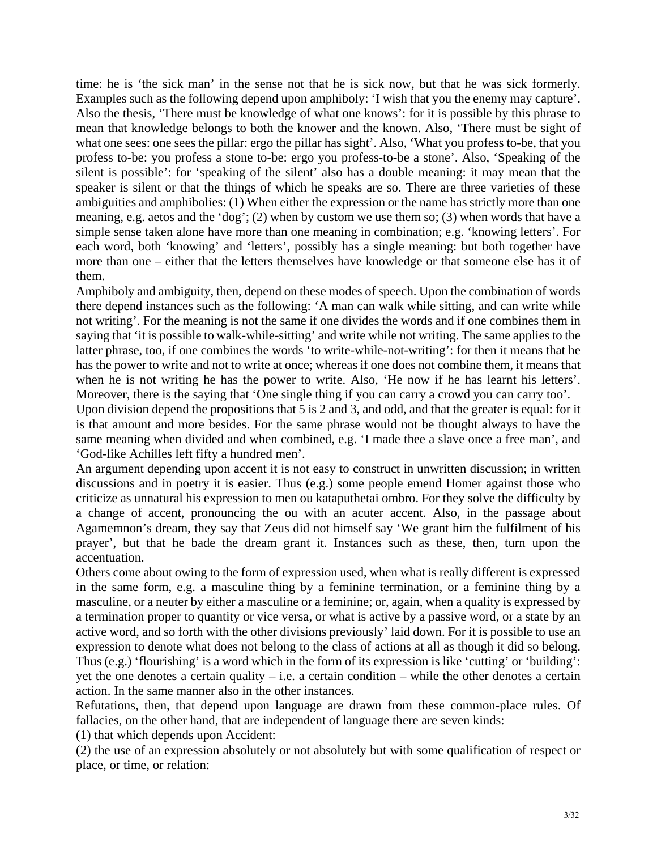time: he is 'the sick man' in the sense not that he is sick now, but that he was sick formerly. Examples such as the following depend upon amphiboly: 'I wish that you the enemy may capture'. Also the thesis, 'There must be knowledge of what one knows': for it is possible by this phrase to mean that knowledge belongs to both the knower and the known. Also, 'There must be sight of what one sees: one sees the pillar: ergo the pillar has sight'. Also, 'What you profess to-be, that you profess to-be: you profess a stone to-be: ergo you profess-to-be a stone'. Also, 'Speaking of the silent is possible': for 'speaking of the silent' also has a double meaning: it may mean that the speaker is silent or that the things of which he speaks are so. There are three varieties of these ambiguities and amphibolies: (1) When either the expression or the name has strictly more than one meaning, e.g. aetos and the 'dog'; (2) when by custom we use them so; (3) when words that have a simple sense taken alone have more than one meaning in combination; e.g. 'knowing letters'. For each word, both 'knowing' and 'letters', possibly has a single meaning: but both together have more than one – either that the letters themselves have knowledge or that someone else has it of them.

Amphiboly and ambiguity, then, depend on these modes of speech. Upon the combination of words there depend instances such as the following: 'A man can walk while sitting, and can write while not writing'. For the meaning is not the same if one divides the words and if one combines them in saying that 'it is possible to walk-while-sitting' and write while not writing. The same applies to the latter phrase, too, if one combines the words 'to write-while-not-writing': for then it means that he has the power to write and not to write at once; whereas if one does not combine them, it means that when he is not writing he has the power to write. Also, 'He now if he has learnt his letters'. Moreover, there is the saying that 'One single thing if you can carry a crowd you can carry too'.

same meaning when divided and when combined, e.g. 'I made thee a slave once a free man', and Upon division depend the propositions that 5 is 2 and 3, and odd, and that the greater is equal: for it is that amount and more besides. For the same phrase would not be thought always to have the 'God-like Achilles left fifty a hundred men'.

criticize as unnatural his expression to men ou kataputhetai ombro. For they solve the difficulty by An argument depending upon accent it is not easy to construct in unwritten discussion; in written discussions and in poetry it is easier. Thus (e.g.) some people emend Homer against those who a change of accent, pronouncing the ou with an acuter accent. Also, in the passage about Agamemnon's dream, they say that Zeus did not himself say 'We grant him the fulfilment of his prayer', but that he bade the dream grant it. Instances such as these, then, turn upon the accentuation.

masculine, or a neuter by either a masculine or a feminine; or, again, when a quality is expressed by Others come about owing to the form of expression used, when what is really different is expressed in the same form, e.g. a masculine thing by a feminine termination, or a feminine thing by a a termination proper to quantity or vice versa, or what is active by a passive word, or a state by an active word, and so forth with the other divisions previously' laid down. For it is possible to use an expression to denote what does not belong to the class of actions at all as though it did so belong. Thus (e.g.) 'flourishing' is a word which in the form of its expression is like 'cutting' or 'building': yet the one denotes a certain quality – i.e. a certain condition – while the other denotes a certain action. In the same manner also in the other instances.

Refutations, then, that depend upon language are drawn from these common-place rules. Of fallacies, on the other hand, that are independent of language there are seven kinds:

(1) that which depends upon Accident:

(2) the use of an expression absolutely or not absolutely but with some qualification of respect or place, or time, or relation: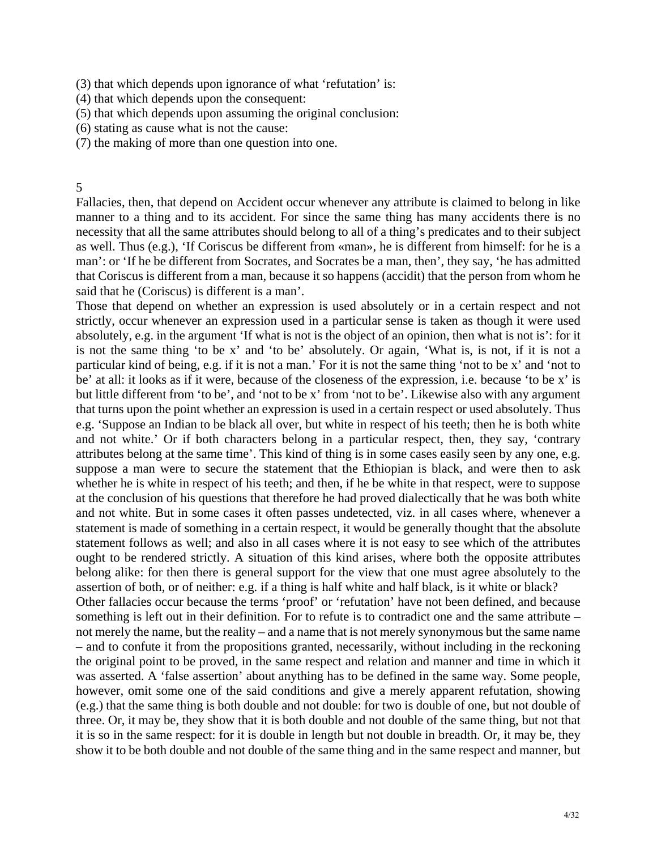(3) that which depends upon ignorance of what 'refutation' is:

- (4) that which depends upon the consequent:
- $(5)$  that which depends upon assuming the original conclusion:
- (6) stating as cause what is not the cause:
- $(7)$  the making of more than one question into one.

### 5

Fallacies, then, that depend on Accident occur whenever any attribute is claimed to belong in like manner to a thing and to its accident. For since the same thing has many accidents there is no necessity that all the same attributes should belong to all of a thing's predicates and to their subject as well. Thus (e.g.), 'If Coriscus be different from «man», he is different from himself: for he is a man': or 'If he be different from Socrates, and Socrates be a man, then', they say, 'he has admitted that Coriscus is different from a man, because it so happens (accidit) that the person from whom he said that he (Coriscus) is different is a man'.

absolutely, e.g. in the argument 'If what is not is the object of an opinion, then what is not is': for it – and to confute it from the propositions granted, necessarily, without including in the reckoning Those that depend on whether an expression is used absolutely or in a certain respect and not strictly, occur whenever an expression used in a particular sense is taken as though it were used is not the same thing 'to be x' and 'to be' absolutely. Or again, 'What is, is not, if it is not a particular kind of being, e.g. if it is not a man.' For it is not the same thing 'not to be x' and 'not to be' at all: it looks as if it were, because of the closeness of the expression, i.e. because 'to be x' is but little different from 'to be', and 'not to be x' from 'not to be'. Likewise also with any argument that turns upon the point whether an expression is used in a certain respect or used absolutely. Thus e.g. 'Suppose an Indian to be black all over, but white in respect of his teeth; then he is both white and not white.' Or if both characters belong in a particular respect, then, they say, 'contrary attributes belong at the same time'. This kind of thing is in some cases easily seen by any one, e.g. suppose a man were to secure the statement that the Ethiopian is black, and were then to ask whether he is white in respect of his teeth; and then, if he be white in that respect, were to suppose at the conclusion of his questions that therefore he had proved dialectically that he was both white and not white. But in some cases it often passes undetected, viz. in all cases where, whenever a statement is made of something in a certain respect, it would be generally thought that the absolute statement follows as well; and also in all cases where it is not easy to see which of the attributes ought to be rendered strictly. A situation of this kind arises, where both the opposite attributes belong alike: for then there is general support for the view that one must agree absolutely to the assertion of both, or of neither: e.g. if a thing is half white and half black, is it white or black? Other fallacies occur because the terms 'proof' or 'refutation' have not been defined, and because something is left out in their definition. For to refute is to contradict one and the same attribute – not merely the name, but the reality – and a name that is not merely synonymous but the same name the original point to be proved, in the same respect and relation and manner and time in which it was asserted. A 'false assertion' about anything has to be defined in the same way. Some people, however, omit some one of the said conditions and give a merely apparent refutation, showing (e.g.) that the same thing is both double and not double: for two is double of one, but not double of three. Or, it may be, they show that it is both double and not double of the same thing, but not that it is so in the same respect: for it is double in length but not double in breadth. Or, it may be, they show it to be both double and not double of the same thing and in the same respect and manner, but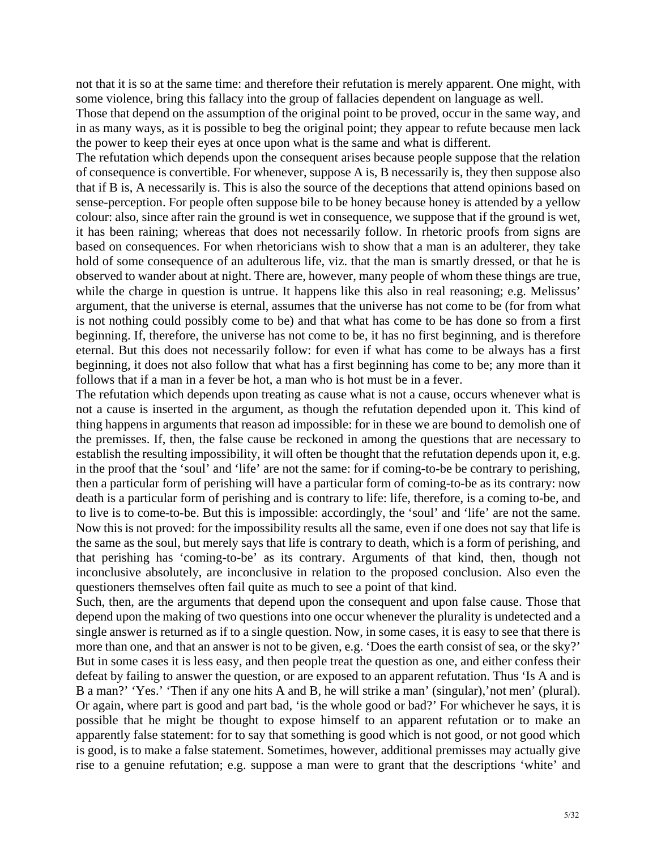not that it is so at the same time: and therefore their refutation is merely apparent. One might, with some violence, bring this fallacy into the group of fallacies dependent on language as well.

Those that depend on the assumption of the original point to be proved, occur in the same way, and in as many ways, as it is possible to beg the original point; they appear to refute because men lack the power to keep their eyes at once upon what is the same and what is different.

The refutation which depends upon the consequent arises because people suppose that the relation of consequence is convertible. For whenever, suppose A is, B necessarily is, they then suppose also that if B is, A necessarily is. This is also the source of the deceptions that attend opinions based on sense-perception. For people often suppose bile to be honey because honey is attended by a yellow colour: also, since after rain the ground is wet in consequence, we suppose that if the ground is wet, it has been raining; whereas that does not necessarily follow. In rhetoric proofs from signs are based on consequences. For when rhetoricians wish to show that a man is an adulterer, they take hold of some consequence of an adulterous life, viz. that the man is smartly dressed, or that he is observed to wander about at night. There are, however, many people of whom these things are true, while the charge in question is untrue. It happens like this also in real reasoning; e.g. Melissus' argument, that the universe is eternal, assumes that the universe has not come to be (for from what is not nothing could possibly come to be) and that what has come to be has done so from a first beginning. If, therefore, the universe has not come to be, it has no first beginning, and is therefore eternal. But this does not necessarily follow: for even if what has come to be always has a first beginning, it does not also follow that what has a first beginning has come to be; any more than it follows that if a man in a fever be hot, a man who is hot must be in a fever.

establish the resulting impossibility, it will often be thought that the refutation depends upon it, e.g. The refutation which depends upon treating as cause what is not a cause, occurs whenever what is not a cause is inserted in the argument, as though the refutation depended upon it. This kind of thing happens in arguments that reason ad impossible: for in these we are bound to demolish one of the premisses. If, then, the false cause be reckoned in among the questions that are necessary to in the proof that the 'soul' and 'life' are not the same: for if coming-to-be be contrary to perishing, then a particular form of perishing will have a particular form of coming-to-be as its contrary: now death is a particular form of perishing and is contrary to life: life, therefore, is a coming to-be, and to live is to come-to-be. But this is impossible: accordingly, the 'soul' and 'life' are not the same. Now this is not proved: for the impossibility results all the same, even if one does not say that life is the same as the soul, but merely says that life is contrary to death, which is a form of perishing, and that perishing has 'coming-to-be' as its contrary. Arguments of that kind, then, though not inconclusive absolutely, are inconclusive in relation to the proposed conclusion. Also even the questioners themselves often fail quite as much to see a point of that kind.

defeat by failing to answer the question, or are exposed to an apparent refutation. Thus 'Is A and is Such, then, are the arguments that depend upon the consequent and upon false cause. Those that depend upon the making of two questions into one occur whenever the plurality is undetected and a single answer is returned as if to a single question. Now, in some cases, it is easy to see that there is more than one, and that an answer is not to be given, e.g. 'Does the earth consist of sea, or the sky?' But in some cases it is less easy, and then people treat the question as one, and either confess their B a man?' 'Yes.' 'Then if any one hits A and B, he will strike a man' (singular),'not men' (plural). Or again, where part is good and part bad, 'is the whole good or bad?' For whichever he says, it is possible that he might be thought to expose himself to an apparent refutation or to make an apparently false statement: for to say that something is good which is not good, or not good which is good, is to make a false statement. Sometimes, however, additional premisses may actually give rise to a genuine refutation; e.g. suppose a man were to grant that the descriptions 'white' and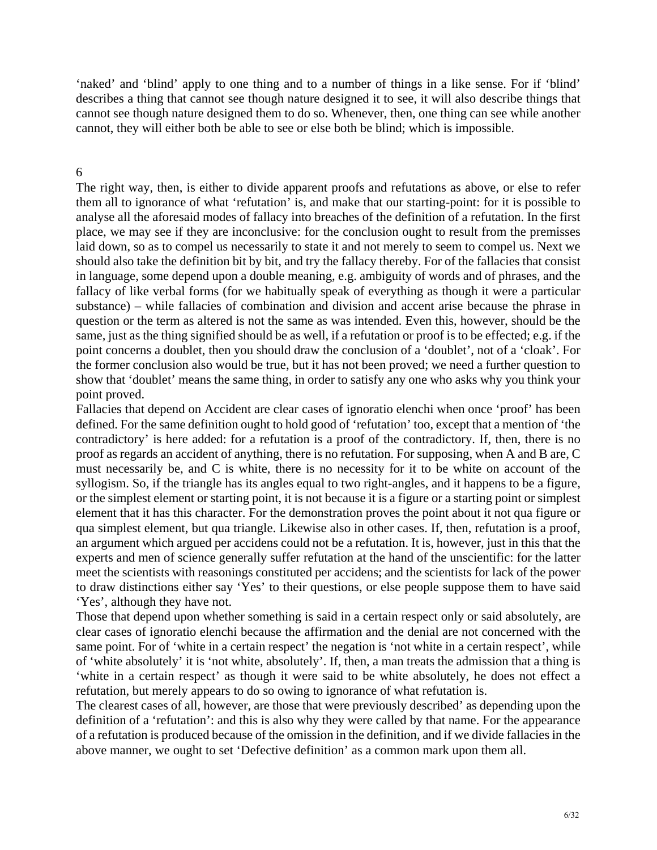'naked' and 'blind' apply to one thing and to a number of things in a like sense. For if 'blind' describes a thing that cannot see though nature designed it to see, it will also describe things that cannot see though nature designed them to do so. Whenever, then, one thing can see while another cannot, they will either both be able to see or else both be blind; which is impossible.

### 6

The right way, then, is either to divide apparent proofs and refutations as above, or else to refer them all to ignorance of what 'refutation' is, and make that our starting-point: for it is possible to analyse all the aforesaid modes of fallacy into breaches of the definition of a refutation. In the first place, we may see if they are inconclusive: for the conclusion ought to result from the premisses laid down, so as to compel us necessarily to state it and not merely to seem to compel us. Next we should also take the definition bit by bit, and try the fallacy thereby. For of the fallacies that consist in language, some depend upon a double meaning, e.g. ambiguity of words and of phrases, and the fallacy of like verbal forms (for we habitually speak of everything as though it were a particular substance) – while fallacies of combination and division and accent arise because the phrase in question or the term as altered is not the same as was intended. Even this, however, should be the same, just as the thing signified should be as well, if a refutation or proof is to be effected; e.g. if the point concerns a doublet, then you should draw the conclusion of a 'doublet', not of a 'cloak'. For the former conclusion also would be true, but it has not been proved; we need a further question to show that 'doublet' means the same thing, in order to satisfy any one who asks why you think your point proved.

or the simplest element or starting point, it is not because it is a figure or a starting point or simplest Fallacies that depend on Accident are clear cases of ignoratio elenchi when once 'proof' has been defined. For the same definition ought to hold good of 'refutation' too, except that a mention of 'the contradictory' is here added: for a refutation is a proof of the contradictory. If, then, there is no proof as regards an accident of anything, there is no refutation. For supposing, when A and B are, C must necessarily be, and C is white, there is no necessity for it to be white on account of the syllogism. So, if the triangle has its angles equal to two right-angles, and it happens to be a figure, element that it has this character. For the demonstration proves the point about it not qua figure or qua simplest element, but qua triangle. Likewise also in other cases. If, then, refutation is a proof, an argument which argued per accidens could not be a refutation. It is, however, just in this that the experts and men of science generally suffer refutation at the hand of the unscientific: for the latter meet the scientists with reasonings constituted per accidens; and the scientists for lack of the power to draw distinctions either say 'Yes' to their questions, or else people suppose them to have said 'Yes', although they have not.

Those that depend upon whether something is said in a certain respect only or said absolutely, are clear cases of ignoratio elenchi because the affirmation and the denial are not concerned with the same point. For of 'white in a certain respect' the negation is 'not white in a certain respect', while of 'white absolutely' it is 'not white, absolutely'. If, then, a man treats the admission that a thing is 'white in a certain respect' as though it were said to be white absolutely, he does not effect a refutation, but merely appears to do so owing to ignorance of what refutation is.

The clearest cases of all, however, are those that were previously described' as depending upon the definition of a 'refutation': and this is also why they were called by that name. For the appearance of a refutation is produced because of the omission in the definition, and if we divide fallacies in the above manner, we ought to set 'Defective definition' as a common mark upon them all.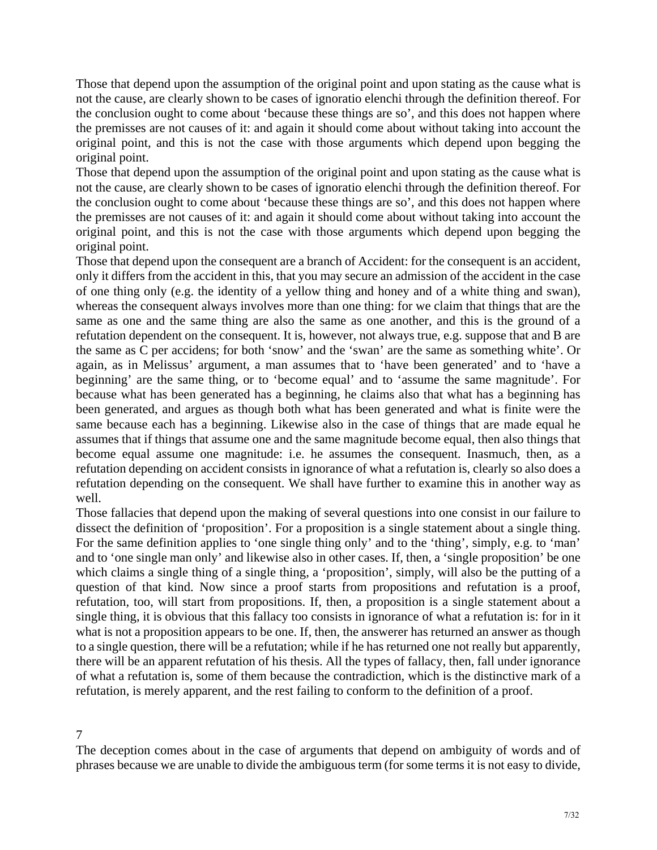Those that depend upon the assumption of the original point and upon stating as the cause what is not the cause, are clearly shown to be cases of ignoratio elenchi through the definition thereof. For the conclusion ought to come about 'because these things are so', and this does not happen where the premisses are not causes of it: and again it should come about without taking into account the original point, and this is not the case with those arguments which depend upon begging the original point.

Those that depend upon the assumption of the original point and upon stating as the cause what is not the cause, are clearly shown to be cases of ignoratio elenchi through the definition thereof. For the conclusion ought to come about 'because these things are so', and this does not happen where the premisses are not causes of it: and again it should come about without taking into account the original point, and this is not the case with those arguments which depend upon begging the original point.

Those that depend upon the consequent are a branch of Accident: for the consequent is an accident, the same as C per accidens; for both 'snow' and the 'swan' are the same as something white'. Or only it differs from the accident in this, that you may secure an admission of the accident in the case of one thing only (e.g. the identity of a yellow thing and honey and of a white thing and swan), whereas the consequent always involves more than one thing: for we claim that things that are the same as one and the same thing are also the same as one another, and this is the ground of a refutation dependent on the consequent. It is, however, not always true, e.g. suppose that and B are again, as in Melissus' argument, a man assumes that to 'have been generated' and to 'have a beginning' are the same thing, or to 'become equal' and to 'assume the same magnitude'. For because what has been generated has a beginning, he claims also that what has a beginning has been generated, and argues as though both what has been generated and what is finite were the same because each has a beginning. Likewise also in the case of things that are made equal he assumes that if things that assume one and the same magnitude become equal, then also things that become equal assume one magnitude: i.e. he assumes the consequent. Inasmuch, then, as a refutation depending on accident consists in ignorance of what a refutation is, clearly so also does a refutation depending on the consequent. We shall have further to examine this in another way as well.

refutation, too, will start from propositions. If, then, a proposition is a single statement about a Those fallacies that depend upon the making of several questions into one consist in our failure to dissect the definition of 'proposition'. For a proposition is a single statement about a single thing. For the same definition applies to 'one single thing only' and to the 'thing', simply, e.g. to 'man' and to 'one single man only' and likewise also in other cases. If, then, a 'single proposition' be one which claims a single thing of a single thing, a 'proposition', simply, will also be the putting of a question of that kind. Now since a proof starts from propositions and refutation is a proof, single thing, it is obvious that this fallacy too consists in ignorance of what a refutation is: for in it what is not a proposition appears to be one. If, then, the answerer has returned an answer as though to a single question, there will be a refutation; while if he has returned one not really but apparently, there will be an apparent refutation of his thesis. All the types of fallacy, then, fall under ignorance of what a refutation is, some of them because the contradiction, which is the distinctive mark of a refutation, is merely apparent, and the rest failing to conform to the definition of a proof.

# 7

The deception comes about in the case of arguments that depend on ambiguity of words and of phrases because we are unable to divide the ambiguous term (for some terms it is not easy to divide,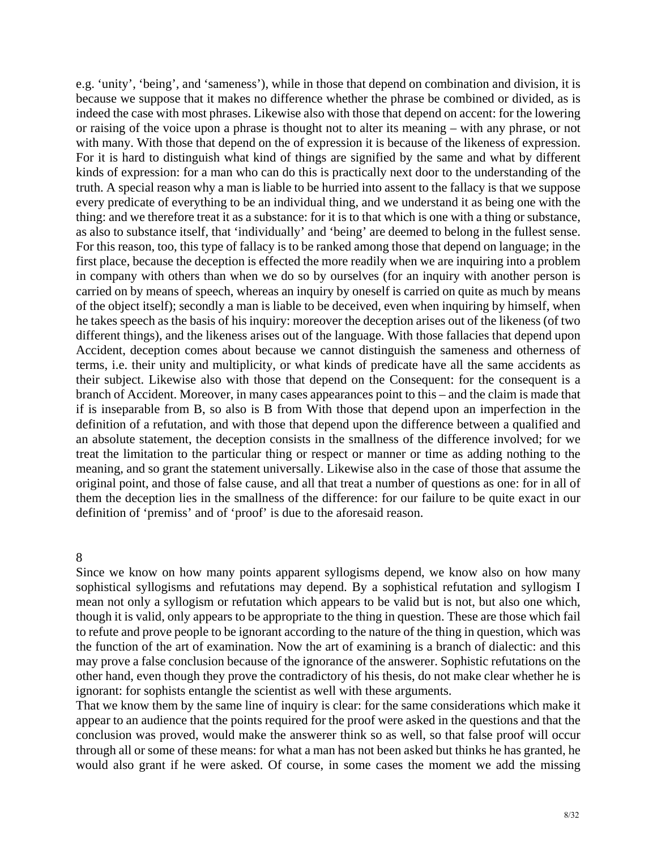e.g. 'unity', 'being', and 'sameness'), while in those that depend on combination and division, it is because we suppose that it makes no difference whether the phrase be combined or divided, as is indeed the case with most phrases. Likewise also with those that depend on accent: for the lowering or raising of the voice upon a phrase is thought not to alter its meaning – with any phrase, or not with many. With those that depend on the of expression it is because of the likeness of expression. For it is hard to distinguish what kind of things are signified by the same and what by different kinds of expression: for a man who can do this is practically next door to the understanding of the truth. A special reason why a man is liable to be hurried into assent to the fallacy is that we suppose every predicate of everything to be an individual thing, and we understand it as being one with the thing: and we therefore treat it as a substance: for it is to that which is one with a thing or substance, as also to substance itself, that 'individually' and 'being' are deemed to belong in the fullest sense. For this reason, too, this type of fallacy is to be ranked among those that depend on language; in the first place, because the deception is effected the more readily when we are inquiring into a problem in company with others than when we do so by ourselves (for an inquiry with another person is carried on by means of speech, whereas an inquiry by oneself is carried on quite as much by means of the object itself); secondly a man is liable to be deceived, even when inquiring by himself, when he takes speech as the basis of his inquiry: moreover the deception arises out of the likeness (of two different things), and the likeness arises out of the language. With those fallacies that depend upon Accident, deception comes about because we cannot distinguish the sameness and otherness of terms, i.e. their unity and multiplicity, or what kinds of predicate have all the same accidents as their subject. Likewise also with those that depend on the Consequent: for the consequent is a branch of Accident. Moreover, in many cases appearances point to this – and the claim is made that if is inseparable from B, so also is B from With those that depend upon an imperfection in the definition of a refutation, and with those that depend upon the difference between a qualified and an absolute statement, the deception consists in the smallness of the difference involved; for we treat the limitation to the particular thing or respect or manner or time as adding nothing to the meaning, and so grant the statement universally. Likewise also in the case of those that assume the original point, and those of false cause, and all that treat a number of questions as one: for in all of them the deception lies in the smallness of the difference: for our failure to be quite exact in our definition of 'premiss' and of 'proof' is due to the aforesaid reason.

8

the function of the art of examination. Now the art of examining is a branch of dialectic: and this may prove a false conclusion because of the ignorance of the answerer. Sophistic refutations on the other hand, even though they prove the contradictory of his thesis, do not make clear whether he is ignorant: for sophists entangle the scientist as well with these arguments. Since we know on how many points apparent syllogisms depend, we know also on how many sophistical syllogisms and refutations may depend. By a sophistical refutation and syllogism I mean not only a syllogism or refutation which appears to be valid but is not, but also one which, though it is valid, only appears to be appropriate to the thing in question. These are those which fail to refute and prove people to be ignorant according to the nature of the thing in question, which was

That we know them by the same line of inquiry is clear: for the same considerations which make it appear to an audience that the points required for the proof were asked in the questions and that the conclusion was proved, would make the answerer think so as well, so that false proof will occur through all or some of these means: for what a man has not been asked but thinks he has granted, he would also grant if he were asked. Of course, in some cases the moment we add the missing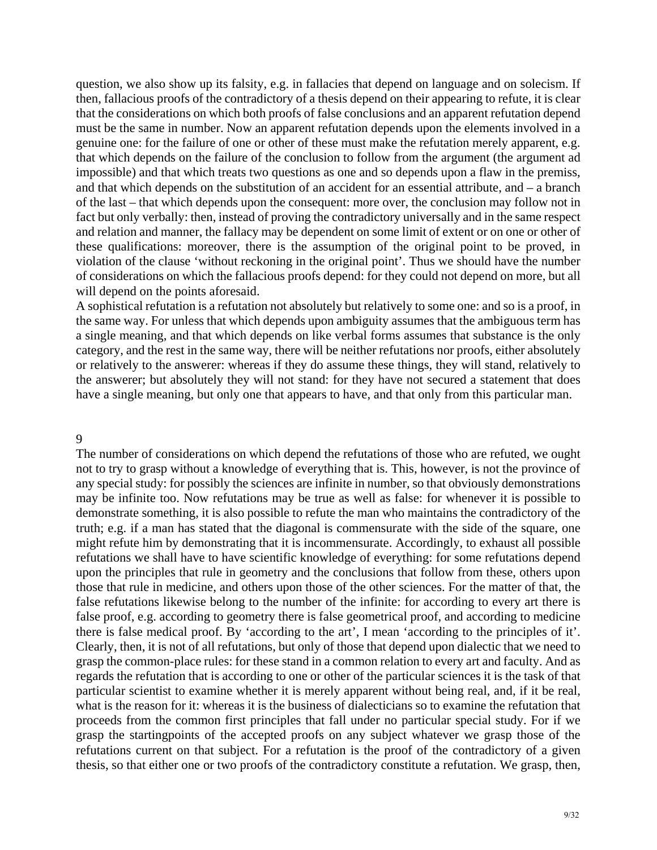question, we also show up its falsity, e.g. in fallacies that depend on language and on solecism. If then, fallacious proofs of the contradictory of a thesis depend on their appearing to refute, it is clear that the considerations on which both proofs of false conclusions and an apparent refutation depend must be the same in number. Now an apparent refutation depends upon the elements involved in a genuine one: for the failure of one or other of these must make the refutation merely apparent, e.g. that which depends on the failure of the conclusion to follow from the argument (the argument ad impossible) and that which treats two questions as one and so depends upon a flaw in the premiss, and that which depends on the substitution of an accident for an essential attribute, and – a branch of the last – that which depends upon the consequent: more over, the conclusion may follow not in fact but only verbally: then, instead of proving the contradictory universally and in the same respect and relation and manner, the fallacy may be dependent on some limit of extent or on one or other of these qualifications: moreover, there is the assumption of the original point to be proved, in violation of the clause 'without reckoning in the original point'. Thus we should have the number of considerations on which the fallacious proofs depend: for they could not depend on more, but all will depend on the points aforesaid.

A sophistical refutation is a refutation not absolutely but relatively to some one: and so is a proof, in the same way. For unless that which depends upon ambiguity assumes that the ambiguous term has a single meaning, and that which depends on like verbal forms assumes that substance is the only category, and the rest in the same way, there will be neither refutations nor proofs, either absolutely or relatively to the answerer: whereas if they do assume these things, they will stand, relatively to the answerer; but absolutely they will not stand: for they have not secured a statement that does have a single meaning, but only one that appears to have, and that only from this particular man.

### 9

refutations we shall have to have scientific knowledge of everything: for some refutations depend upon the principles that rule in geometry and the conclusions that follow from these, others upon those that rule in medicine, and others upon those of the other sciences. For the matter of that, the false refutations likewise belong to the number of the infinite: for according to every art there is The number of considerations on which depend the refutations of those who are refuted, we ought not to try to grasp without a knowledge of everything that is. This, however, is not the province of any special study: for possibly the sciences are infinite in number, so that obviously demonstrations may be infinite too. Now refutations may be true as well as false: for whenever it is possible to demonstrate something, it is also possible to refute the man who maintains the contradictory of the truth; e.g. if a man has stated that the diagonal is commensurate with the side of the square, one might refute him by demonstrating that it is incommensurate. Accordingly, to exhaust all possible false proof, e.g. according to geometry there is false geometrical proof, and according to medicine there is false medical proof. By 'according to the art', I mean 'according to the principles of it'. Clearly, then, it is not of all refutations, but only of those that depend upon dialectic that we need to grasp the common-place rules: for these stand in a common relation to every art and faculty. And as regards the refutation that is according to one or other of the particular sciences it is the task of that particular scientist to examine whether it is merely apparent without being real, and, if it be real, what is the reason for it: whereas it is the business of dialecticians so to examine the refutation that proceeds from the common first principles that fall under no particular special study. For if we grasp the startingpoints of the accepted proofs on any subject whatever we grasp those of the refutations current on that subject. For a refutation is the proof of the contradictory of a given thesis, so that either one or two proofs of the contradictory constitute a refutation. We grasp, then,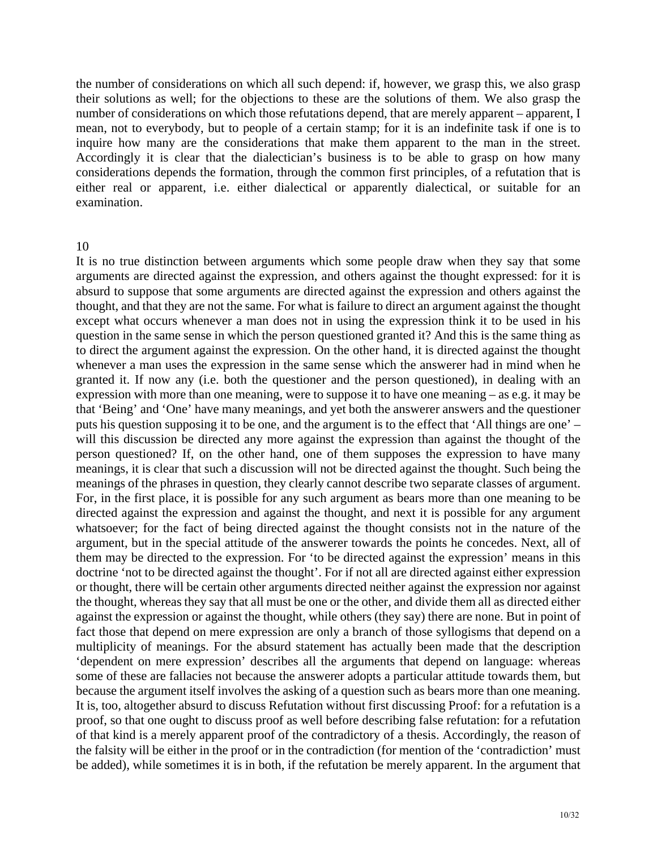the number of considerations on which all such depend: if, however, we grasp this, we also grasp their solutions as well; for the objections to these are the solutions of them. We also grasp the number of considerations on which those refutations depend, that are merely apparent – apparent, I mean, not to everybody, but to people of a certain stamp; for it is an indefinite task if one is to inquire how many are the considerations that make them apparent to the man in the street. Accordingly it is clear that the dialectician's business is to be able to grasp on how many considerations depends the formation, through the common first principles, of a refutation that is either real or apparent, i.e. either dialectical or apparently dialectical, or suitable for an examination.

#### 10

It is no true distinction between arguments which some people draw when they say that some arguments are directed against the expression, and others against the thought expressed: for it is absurd to suppose that some arguments are directed against the expression and others against the thought, and that they are not the same. For what is failure to direct an argument against the thought except what occurs whenever a man does not in using the expression think it to be used in his question in the same sense in which the person questioned granted it? And this is the same thing as to direct the argument against the expression. On the other hand, it is directed against the thought whenever a man uses the expression in the same sense which the answerer had in mind when he granted it. If now any (i.e. both the questioner and the person questioned), in dealing with an expression with more than one meaning, were to suppose it to have one meaning – as e.g. it may be that 'Being' and 'One' have many meanings, and yet both the answerer answers and the questioner puts his question supposing it to be one, and the argument is to the effect that 'All things are one' – will this discussion be directed any more against the expression than against the thought of the person questioned? If, on the other hand, one of them supposes the expression to have many meanings, it is clear that such a discussion will not be directed against the thought. Such being the meanings of the phrases in question, they clearly cannot describe two separate classes of argument. For, in the first place, it is possible for any such argument as bears more than one meaning to be directed against the expression and against the thought, and next it is possible for any argument whatsoever; for the fact of being directed against the thought consists not in the nature of the argument, but in the special attitude of the answerer towards the points he concedes. Next, all of them may be directed to the expression. For 'to be directed against the expression' means in this doctrine 'not to be directed against the thought'. For if not all are directed against either expression or thought, there will be certain other arguments directed neither against the expression nor against the thought, whereas they say that all must be one or the other, and divide them all as directed either against the expression or against the thought, while others (they say) there are none. But in point of fact those that depend on mere expression are only a branch of those syllogisms that depend on a multiplicity of meanings. For the absurd statement has actually been made that the description 'dependent on mere expression' describes all the arguments that depend on language: whereas some of these are fallacies not because the answerer adopts a particular attitude towards them, but because the argument itself involves the asking of a question such as bears more than one meaning. It is, too, altogether absurd to discuss Refutation without first discussing Proof: for a refutation is a proof, so that one ought to discuss proof as well before describing false refutation: for a refutation of that kind is a merely apparent proof of the contradictory of a thesis. Accordingly, the reason of the falsity will be either in the proof or in the contradiction (for mention of the 'contradiction' must be added), while sometimes it is in both, if the refutation be merely apparent. In the argument that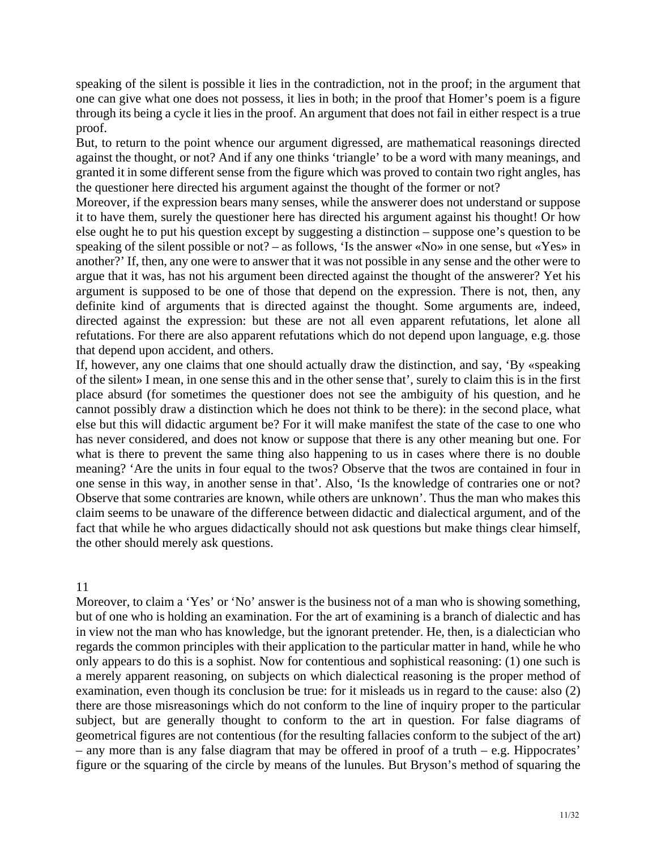speaking of the silent is possible it lies in the contradiction, not in the proof; in the argument that one can give what one does not possess, it lies in both; in the proof that Homer's poem is a figure through its being a cycle it lies in the proof. An argument that does not fail in either respect is a true proof.

But, to return to the point whence our argument digressed, are mathematical reasonings directed against the thought, or not? And if any one thinks 'triangle' to be a word with many meanings, and granted it in some different sense from the figure which was proved to contain two right angles, has the questioner here directed his argument against the thought of the former or not?

definite kind of arguments that is directed against the thought. Some arguments are, indeed, Moreover, if the expression bears many senses, while the answerer does not understand or suppose it to have them, surely the questioner here has directed his argument against his thought! Or how else ought he to put his question except by suggesting a distinction – suppose one's question to be speaking of the silent possible or not? – as follows, 'Is the answer «No» in one sense, but «Yes» in another?' If, then, any one were to answer that it was not possible in any sense and the other were to argue that it was, has not his argument been directed against the thought of the answerer? Yet his argument is supposed to be one of those that depend on the expression. There is not, then, any directed against the expression: but these are not all even apparent refutations, let alone all refutations. For there are also apparent refutations which do not depend upon language, e.g. those that depend upon accident, and others.

If, however, any one claims that one should actually draw the distinction, and say, 'By «speaking fact that while he who argues didactically should not ask questions but make things clear himself, of the silent» I mean, in one sense this and in the other sense that', surely to claim this is in the first place absurd (for sometimes the questioner does not see the ambiguity of his question, and he cannot possibly draw a distinction which he does not think to be there): in the second place, what else but this will didactic argument be? For it will make manifest the state of the case to one who has never considered, and does not know or suppose that there is any other meaning but one. For what is there to prevent the same thing also happening to us in cases where there is no double meaning? 'Are the units in four equal to the twos? Observe that the twos are contained in four in one sense in this way, in another sense in that'. Also, 'Is the knowledge of contraries one or not? Observe that some contraries are known, while others are unknown'. Thus the man who makes this claim seems to be unaware of the difference between didactic and dialectical argument, and of the the other should merely ask questions.

#### 11

subject, but are generally thought to conform to the art in question. For false diagrams of eometrical figures are not contentious (for the resulting fallacies conform to the subject of the art) g - any more than is any false diagram that may be offered in proof of a truth – e.g. Hippocrates' figure or the squaring of the circle by means of the lunules. But Bryson's method of squaring the Moreover, to claim a 'Yes' or 'No' answer is the business not of a man who is showing something, but of one who is holding an examination. For the art of examining is a branch of dialectic and has in view not the man who has knowledge, but the ignorant pretender. He, then, is a dialectician who regards the common principles with their application to the particular matter in hand, while he who only appears to do this is a sophist. Now for contentious and sophistical reasoning: (1) one such is a merely apparent reasoning, on subjects on which dialectical reasoning is the proper method of examination, even though its conclusion be true: for it misleads us in regard to the cause: also (2) there are those misreasonings which do not conform to the line of inquiry proper to the particular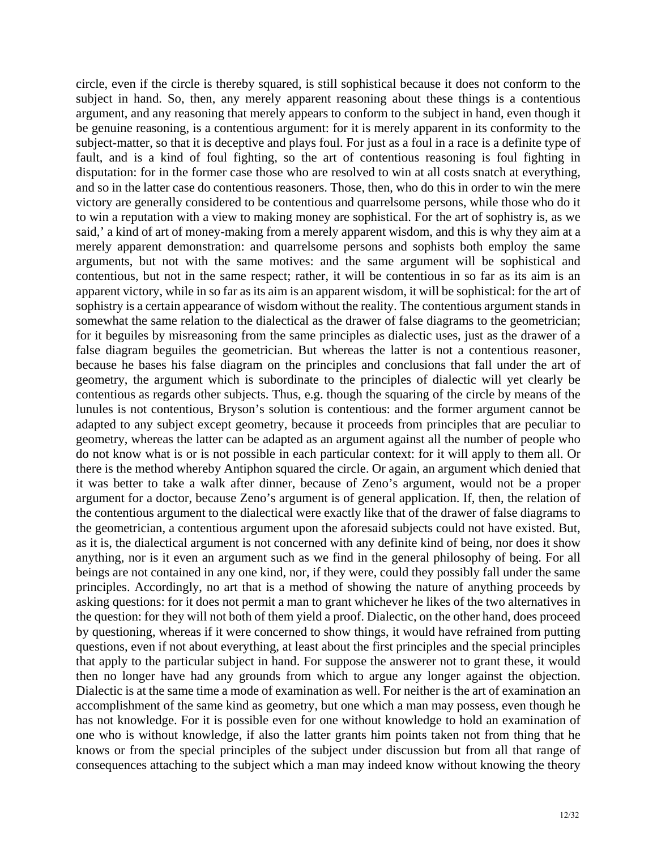circle, even if the circle is thereby squared, is still sophistical because it does not conform to the subject in hand. So, then, any merely apparent reasoning about these things is a contentious argument, and any reasoning that merely appears to conform to the subject in hand, even though it be genuine reasoning, is a contentious argument: for it is merely apparent in its conformity to the subject-matter, so that it is deceptive and plays foul. For just as a foul in a race is a definite type of fault, and is a kind of foul fighting, so the art of contentious reasoning is foul fighting in disputation: for in the former case those who are resolved to win at all costs snatch at everything, and so in the latter case do contentious reasoners. Those, then, who do this in order to win the mere victory are generally considered to be contentious and quarrelsome persons, while those who do it to win a reputation with a view to making money are sophistical. For the art of sophistry is, as we said,' a kind of art of money-making from a merely apparent wisdom, and this is why they aim at a merely apparent demonstration: and quarrelsome persons and sophists both employ the same arguments, but not with the same motives: and the same argument will be sophistical and contentious, but not in the same respect; rather, it will be contentious in so far as its aim is an apparent victory, while in so far as its aim is an apparent wisdom, it will be sophistical: for the art of sophistry is a certain appearance of wisdom without the reality. The contentious argument stands in somewhat the same relation to the dialectical as the drawer of false diagrams to the geometrician; for it beguiles by misreasoning from the same principles as dialectic uses, just as the drawer of a false diagram beguiles the geometrician. But whereas the latter is not a contentious reasoner, because he bases his false diagram on the principles and conclusions that fall under the art of geometry, the argument which is subordinate to the principles of dialectic will yet clearly be contentious as regards other subjects. Thus, e.g. though the squaring of the circle by means of the lunules is not contentious, Bryson's solution is contentious: and the former argument cannot be adapted to any subject except geometry, because it proceeds from principles that are peculiar to geometry, whereas the latter can be adapted as an argument against all the number of people who do not know what is or is not possible in each particular context: for it will apply to them all. Or there is the method whereby Antiphon squared the circle. Or again, an argument which denied that it was better to take a walk after dinner, because of Zeno's argument, would not be a proper argument for a doctor, because Zeno's argument is of general application. If, then, the relation of the contentious argument to the dialectical were exactly like that of the drawer of false diagrams to the geometrician, a contentious argument upon the aforesaid subjects could not have existed. But, as it is, the dialectical argument is not concerned with any definite kind of being, nor does it show anything, nor is it even an argument such as we find in the general philosophy of being. For all beings are not contained in any one kind, nor, if they were, could they possibly fall under the same principles. Accordingly, no art that is a method of showing the nature of anything proceeds by asking questions: for it does not permit a man to grant whichever he likes of the two alternatives in the question: for they will not both of them yield a proof. Dialectic, on the other hand, does proceed by questioning, whereas if it were concerned to show things, it would have refrained from putting questions, even if not about everything, at least about the first principles and the special principles that apply to the particular subject in hand. For suppose the answerer not to grant these, it would then no longer have had any grounds from which to argue any longer against the objection. Dialectic is at the same time a mode of examination as well. For neither is the art of examination an accomplishment of the same kind as geometry, but one which a man may possess, even though he has not knowledge. For it is possible even for one without knowledge to hold an examination of one who is without knowledge, if also the latter grants him points taken not from thing that he knows or from the special principles of the subject under discussion but from all that range of consequences attaching to the subject which a man may indeed know without knowing the theory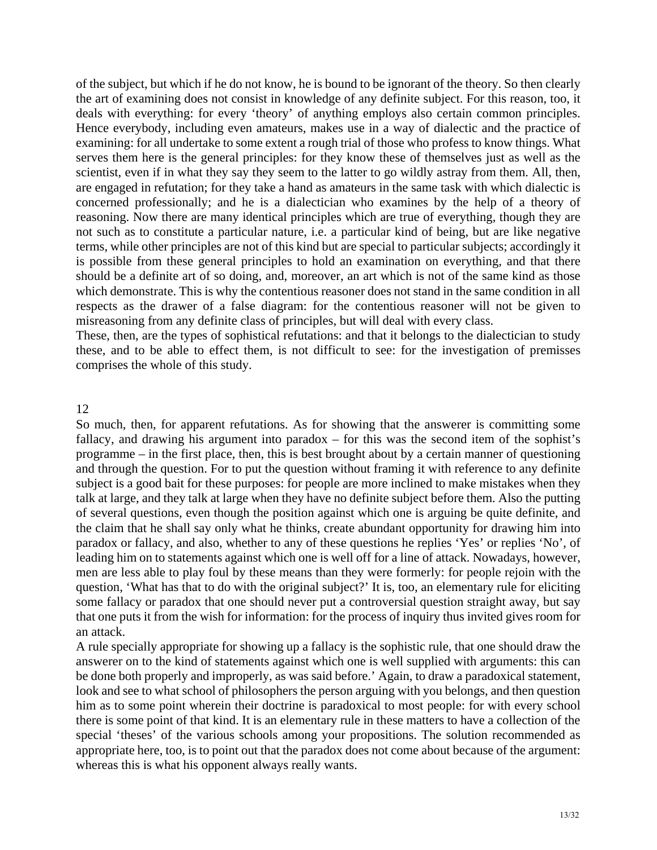of the subject, but which if he do not know, he is bound to be ignorant of the theory. So then clearly the art of examining does not consist in knowledge of any definite subject. For this reason, too, it deals with everything: for every 'theory' of anything employs also certain common principles. Hence everybody, including even amateurs, makes use in a way of dialectic and the practice of examining: for all undertake to some extent a rough trial of those who profess to know things. What serves them here is the general principles: for they know these of themselves just as well as the scientist, even if in what they say they seem to the latter to go wildly astray from them. All, then, are engaged in refutation; for they take a hand as amateurs in the same task with which dialectic is concerned professionally; and he is a dialectician who examines by the help of a theory of reasoning. Now there are many identical principles which are true of everything, though they are not such as to constitute a particular nature, i.e. a particular kind of being, but are like negative terms, while other principles are not of this kind but are special to particular subjects; accordingly it is possible from these general principles to hold an examination on everything, and that there should be a definite art of so doing, and, moreover, an art which is not of the same kind as those which demonstrate. This is why the contentious reasoner does not stand in the same condition in all respects as the drawer of a false diagram: for the contentious reasoner will not be given to misreasoning from any definite class of principles, but will deal with every class.

These, then, are the types of sophistical refutations: and that it belongs to the dialectician to study these, and to be able to effect them, is not difficult to see: for the investigation of premisses comprises the whole of this study.

### 12

So much, then, for apparent refutations. As for showing that the answerer is committing some fallacy, and drawing his argument into paradox – for this was the second item of the sophist's programme – in the first place, then, this is best brought about by a certain manner of questioning and through the question. For to put the question without framing it with reference to any definite subject is a good bait for these purposes: for people are more inclined to make mistakes when they talk at large, and they talk at large when they have no definite subject before them. Also the putting of several questions, even though the position against which one is arguing be quite definite, and the claim that he shall say only what he thinks, create abundant opportunity for drawing him into paradox or fallacy, and also, whether to any of these questions he replies 'Yes' or replies 'No', of question, 'What has that to do with the original subject?' It is, too, an elementary rule for eliciting some fallacy or paradox that one should never put a controversial question straight away, but say that one puts it from the wish for information: for the process of inquiry thus invited gives room for an attack. leading him on to statements against which one is well off for a line of attack. Nowadays, however, men are less able to play foul by these means than they were formerly: for people rejoin with the

A rule specially appropriate for showing up a fallacy is the sophistic rule, that one should draw the answerer on to the kind of statements against which one is well supplied with arguments: this can be done both properly and improperly, as was said before.' Again, to draw a paradoxical statement, look and see to what school of philosophers the person arguing with you belongs, and then question him as to some point wherein their doctrine is paradoxical to most people: for with every school there is some point of that kind. It is an elementary rule in these matters to have a collection of the special 'theses' of the various schools among your propositions. The solution recommended as appropriate here, too, is to point out that the paradox does not come about because of the argument: whereas this is what his opponent always really wants.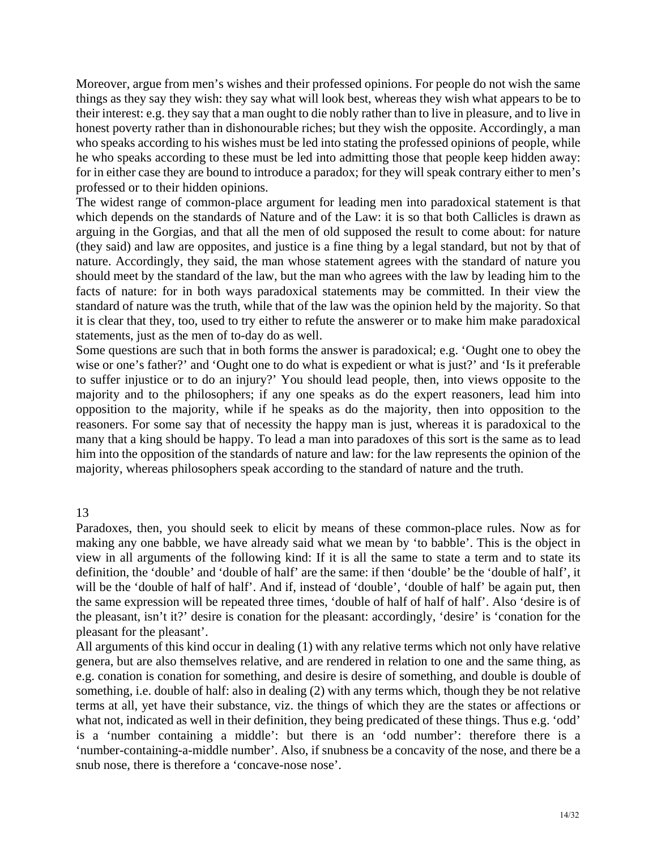Moreover, argue from men's wishes and their professed opinions. For people do not wish the same things as they say they wish: they say what will look best, whereas they wish what appears to be to their interest: e.g. they say that a man ought to die nobly rather than to live in pleasure, and to live in honest poverty rather than in dishonourable riches; but they wish the opposite. Accordingly, a man who speaks according to his wishes must be led into stating the professed opinions of people, while he who speaks according to these must be led into admitting those that people keep hidden away: for in either case they are bound to introduce a paradox; for they will speak contrary either to men's professed or to their hidden opinions.

facts of nature: for in both ways paradoxical statements may be committed. In their view the The widest range of common-place argument for leading men into paradoxical statement is that which depends on the standards of Nature and of the Law: it is so that both Callicles is drawn as arguing in the Gorgias, and that all the men of old supposed the result to come about: for nature (they said) and law are opposites, and justice is a fine thing by a legal standard, but not by that of nature. Accordingly, they said, the man whose statement agrees with the standard of nature you should meet by the standard of the law, but the man who agrees with the law by leading him to the standard of nature was the truth, while that of the law was the opinion held by the majority. So that it is clear that they, too, used to try either to refute the answerer or to make him make paradoxical statements, just as the men of to-day do as well.

opposition to the majority, while if he speaks as do the majority, then into opposition to the Some questions are such that in both forms the answer is paradoxical; e.g. 'Ought one to obey the wise or one's father?' and 'Ought one to do what is expedient or what is just?' and 'Is it preferable to suffer injustice or to do an injury?' You should lead people, then, into views opposite to the majority and to the philosophers; if any one speaks as do the expert reasoners, lead him into reasoners. For some say that of necessity the happy man is just, whereas it is paradoxical to the many that a king should be happy. To lead a man into paradoxes of this sort is the same as to lead him into the opposition of the standards of nature and law: for the law represents the opinion of the majority, whereas philosophers speak according to the standard of nature and the truth.

# 13

view in all arguments of the following kind: If it is all the same to state a term and to state its Paradoxes, then, you should seek to elicit by means of these common-place rules. Now as for making any one babble, we have already said what we mean by 'to babble'. This is the object in definition, the 'double' and 'double of half' are the same: if then 'double' be the 'double of half', it will be the 'double of half of half'. And if, instead of 'double', 'double of half' be again put, then the same expression will be repeated three times, 'double of half of half of half'. Also 'desire is of the pleasant, isn't it?' desire is conation for the pleasant: accordingly, 'desire' is 'conation for the pleasant for the pleasant'.

terms at all, yet have their substance, viz. the things of which they are the states or affections or what not, indicated as well in their definition, they being predicated of these things. Thus e.g. 'odd' is a 'number containing a middle': but there is an 'odd number': therefore there is a 'number-containing-a-middle number'. Also, if snubness be a concavity of the nose, and there be a snub nose, there is therefore a 'concave-nose nose'. All arguments of this kind occur in dealing (1) with any relative terms which not only have relative genera, but are also themselves relative, and are rendered in relation to one and the same thing, as e.g. conation is conation for something, and desire is desire of something, and double is double of something, i.e. double of half: also in dealing (2) with any terms which, though they be not relative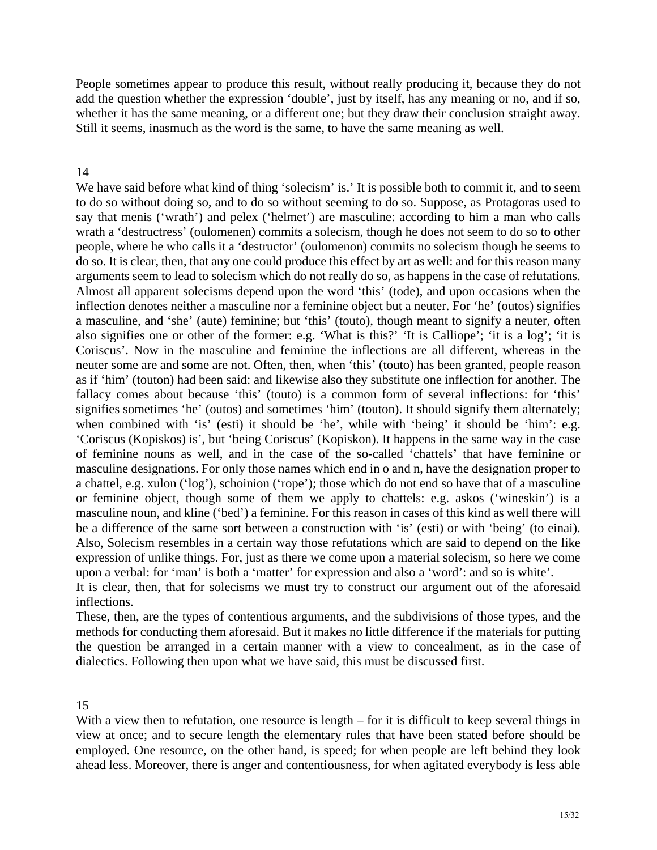People sometimes appear to produce this result, without really producing it, because they do not add the question whether the expression 'double', just by itself, has any meaning or no, and if so, whether it has the same meaning, or a different one; but they draw their conclusion straight away. Still it seems, inasmuch as the word is the same, to have the same meaning as well.

# 14

to do so without doing so, and to do so without seeming to do so. Suppose, as Protagoras used to also signifies one or other of the former: e.g. 'What is this?' 'It is Calliope'; 'it is a log'; 'it is fallacy comes about because 'this' (touto) is a common form of several inflections: for 'this' signifies sometimes 'he' (outos) and sometimes 'him' (touton). It should signify them alternately; when combined with 'is' (esti) it should be 'he', while with 'being' it should be 'him': e.g. 'Coriscus (Kopiskos) is', but 'being Coriscus' (Kopiskon). It happens in the same way in the case expression of unlike things. For, just as there we come upon a material solecism, so here we come We have said before what kind of thing 'solecism' is.' It is possible both to commit it, and to seem say that menis ('wrath') and pelex ('helmet') are masculine: according to him a man who calls wrath a 'destructress' (oulomenen) commits a solecism, though he does not seem to do so to other people, where he who calls it a 'destructor' (oulomenon) commits no solecism though he seems to do so. It is clear, then, that any one could produce this effect by art as well: and for this reason many arguments seem to lead to solecism which do not really do so, as happens in the case of refutations. Almost all apparent solecisms depend upon the word 'this' (tode), and upon occasions when the inflection denotes neither a masculine nor a feminine object but a neuter. For 'he' (outos) signifies a masculine, and 'she' (aute) feminine; but 'this' (touto), though meant to signify a neuter, often Coriscus'. Now in the masculine and feminine the inflections are all different, whereas in the neuter some are and some are not. Often, then, when 'this' (touto) has been granted, people reason as if 'him' (touton) had been said: and likewise also they substitute one inflection for another. The of feminine nouns as well, and in the case of the so-called 'chattels' that have feminine or masculine designations. For only those names which end in o and n, have the designation proper to a chattel, e.g. xulon ('log'), schoinion ('rope'); those which do not end so have that of a masculine or feminine object, though some of them we apply to chattels: e.g. askos ('wineskin') is a masculine noun, and kline ('bed') a feminine. For this reason in cases of this kind as well there will be a difference of the same sort between a construction with 'is' (esti) or with 'being' (to einai). Also, Solecism resembles in a certain way those refutations which are said to depend on the like upon a verbal: for 'man' is both a 'matter' for expression and also a 'word': and so is white'.

It is clear, then, that for solecisms we must try to construct our argument out of the aforesaid inflections.

These, then, are the types of contentious arguments, and the subdivisions of those types, and the methods for conducting them aforesaid. But it makes no little difference if the materials for putting the question be arranged in a certain manner with a view to concealment, as in the case of dialectics. Following then upon what we have said, this must be discussed first.

15

With a view then to refutation, one resource is length – for it is difficult to keep several things in view at once; and to secure length the elementary rules that have been stated before should be employed. One resource, on the other hand, is speed; for when people are left behind they look ahead less. Moreover, there is anger and contentiousness, for when agitated everybody is less able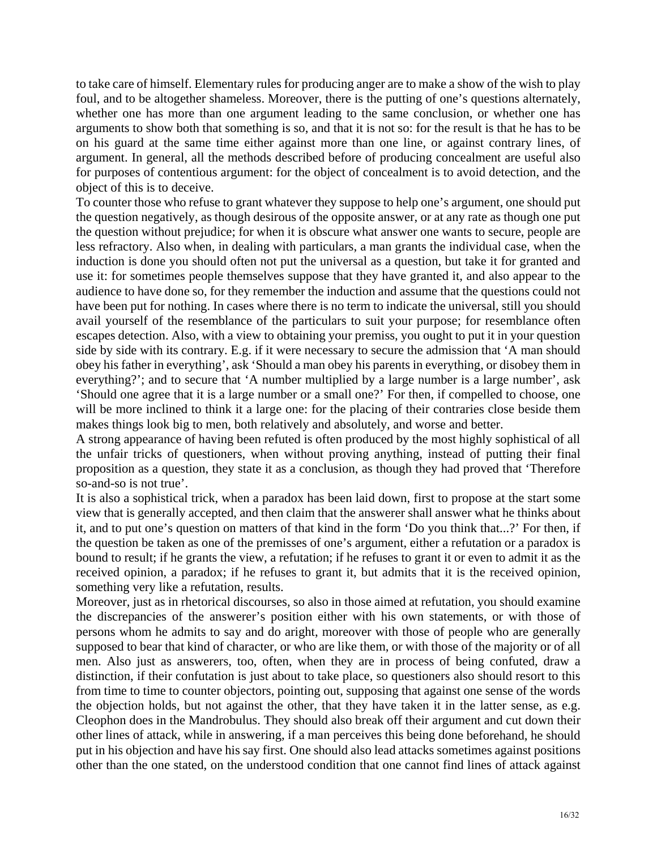to take care of himself. Elementary rules for producing anger are to make a show of the wish to play foul, and to be altogether shameless. Moreover, there is the putting of one's questions alternately, whether one has more than one argument leading to the same conclusion, or whether one has arguments to show both that something is so, and that it is not so: for the result is that he has to be on his guard at the same time either against more than one line, or against contrary lines, of argument. In general, all the methods described before of producing concealment are useful also for purposes of contentious argument: for the object of concealment is to avoid detection, and the object of this is to deceive.

To counter those who refuse to grant whatever they suppose to help one's argument, one should put induction is done you should often not put the universal as a question, but take it for granted and use it: for sometimes people themselves suppose that they have granted it, and also appear to the udience to have done so, for they remember the induction and assume that the questions could not a have been put for nothing. In cases where there is no term to indicate the universal, still you should the question negatively, as though desirous of the opposite answer, or at any rate as though one put the question without prejudice; for when it is obscure what answer one wants to secure, people are less refractory. Also when, in dealing with particulars, a man grants the individual case, when the avail yourself of the resemblance of the particulars to suit your purpose; for resemblance often escapes detection. Also, with a view to obtaining your premiss, you ought to put it in your question side by side with its contrary. E.g. if it were necessary to secure the admission that 'A man should obey his father in everything', ask 'Should a man obey his parents in everything, or disobey them in everything?'; and to secure that 'A number multiplied by a large number is a large number', ask 'Should one agree that it is a large number or a small one?' For then, if compelled to choose, one will be more inclined to think it a large one: for the placing of their contraries close beside them makes things look big to men, both relatively and absolutely, and worse and better.

A strong appearance of having been refuted is often produced by the most highly sophistical of all the unfair tricks of questioners, when without proving anything, instead of putting their final proposition as a question, they state it as a conclusion, as though they had proved that 'Therefore so-and-so is not true'.

It is also a sophistical trick, when a paradox has been laid down, first to propose at the start some view that is generally accepted, and then claim that the answerer shall answer what he thinks about it, and to put one's question on matters of that kind in the form 'Do you think that...?' For then, if the question be taken as one of the premisses of one's argument, either a refutation or a paradox is bound to result; if he grants the view, a refutation; if he refuses to grant it or even to admit it as the received opinion, a paradox; if he refuses to grant it, but admits that it is the received opinion, something very like a refutation, results.

other lines of attack, while in answering, if a man perceives this being done beforehand, he should Moreover, just as in rhetorical discourses, so also in those aimed at refutation, you should examine the discrepancies of the answerer's position either with his own statements, or with those of persons whom he admits to say and do aright, moreover with those of people who are generally supposed to bear that kind of character, or who are like them, or with those of the majority or of all men. Also just as answerers, too, often, when they are in process of being confuted, draw a distinction, if their confutation is just about to take place, so questioners also should resort to this from time to time to counter objectors, pointing out, supposing that against one sense of the words the objection holds, but not against the other, that they have taken it in the latter sense, as e.g. Cleophon does in the Mandrobulus. They should also break off their argument and cut down their put in his objection and have his say first. One should also lead attacks sometimes against positions other than the one stated, on the understood condition that one cannot find lines of attack against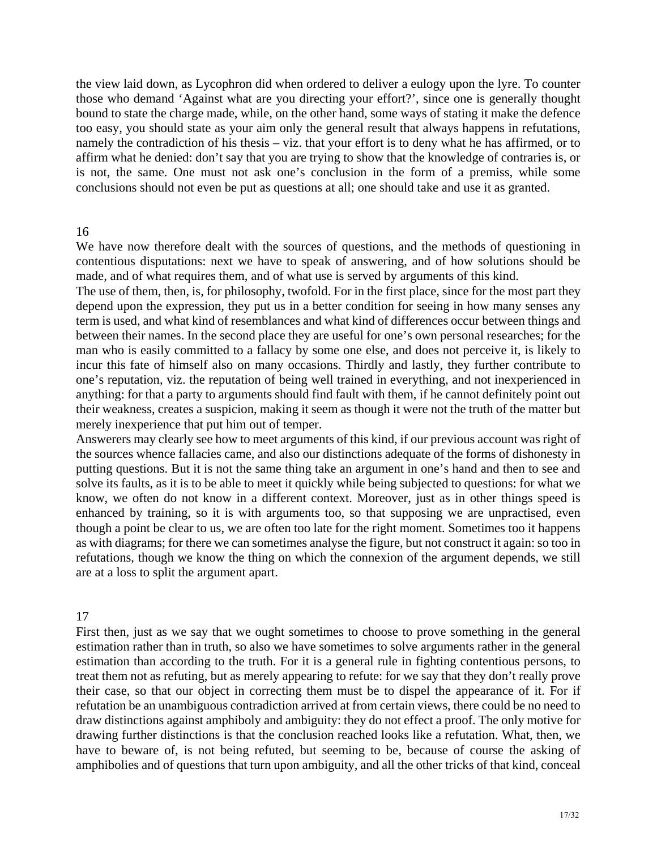the view laid down, as Lycophron did when ordered to deliver a eulogy upon the lyre. To counter those who demand 'Against what are you directing your effort?', since one is generally thought bound to state the charge made, while, on the other hand, some ways of stating it make the defence too easy, you should state as your aim only the general result that always happens in refutations, namely the contradiction of his thesis – viz. that your effort is to deny what he has affirmed, or to affirm what he denied: don't say that you are trying to show that the knowledge of contraries is, or is not, the same. One must not ask one's conclusion in the form of a premiss, while some conclusions should not even be put as questions at all; one should take and use it as granted.

### 16

We have now therefore dealt with the sources of questions, and the methods of questioning in contentious disputations: next we have to speak of answering, and of how solutions should be made, and of what requires them, and of what use is served by arguments of this kind.

The use of them, then, is, for philosophy, twofold. For in the first place, since for the most part they depend upon the expression, they put us in a better condition for seeing in how many senses any term is used, and what kind of resemblances and what kind of differences occur between things and between their names. In the second place they are useful for one's own personal researches; for the man who is easily committed to a fallacy by some one else, and does not perceive it, is likely to incur this fate of himself also on many occasions. Thirdly and lastly, they further contribute to one's reputation, viz. the reputation of being well trained in everything, and not inexperienced in anything: for that a party to arguments should find fault with them, if he cannot definitely point out their weakness, creates a suspicion, making it seem as though it were not the truth of the matter but merely inexperience that put him out of temper.

enhanced by training, so it is with arguments too, so that supposing we are unpractised, even though a point be clear to us, we are often too late for the right moment. Sometimes too it happens as with diagrams; for there we can sometimes analyse the figure, but not construct it again: so too in refutations, though we know the thing on which the connexion of the argument depends, we still Answerers may clearly see how to meet arguments of this kind, if our previous account was right of the sources whence fallacies came, and also our distinctions adequate of the forms of dishonesty in putting questions. But it is not the same thing take an argument in one's hand and then to see and solve its faults, as it is to be able to meet it quickly while being subjected to questions: for what we know, we often do not know in a different context. Moreover, just as in other things speed is are at a loss to split the argument apart.

# 17

have to beware of, is not being refuted, but seeming to be, because of course the asking of amphibolies and of questions that turn upon ambiguity, and all the other tricks of that kind, conceal First then, just as we say that we ought sometimes to choose to prove something in the general estimation rather than in truth, so also we have sometimes to solve arguments rather in the general estimation than according to the truth. For it is a general rule in fighting contentious persons, to treat them not as refuting, but as merely appearing to refute: for we say that they don't really prove their case, so that our object in correcting them must be to dispel the appearance of it. For if refutation be an unambiguous contradiction arrived at from certain views, there could be no need to draw distinctions against amphiboly and ambiguity: they do not effect a proof. The only motive for drawing further distinctions is that the conclusion reached looks like a refutation. What, then, we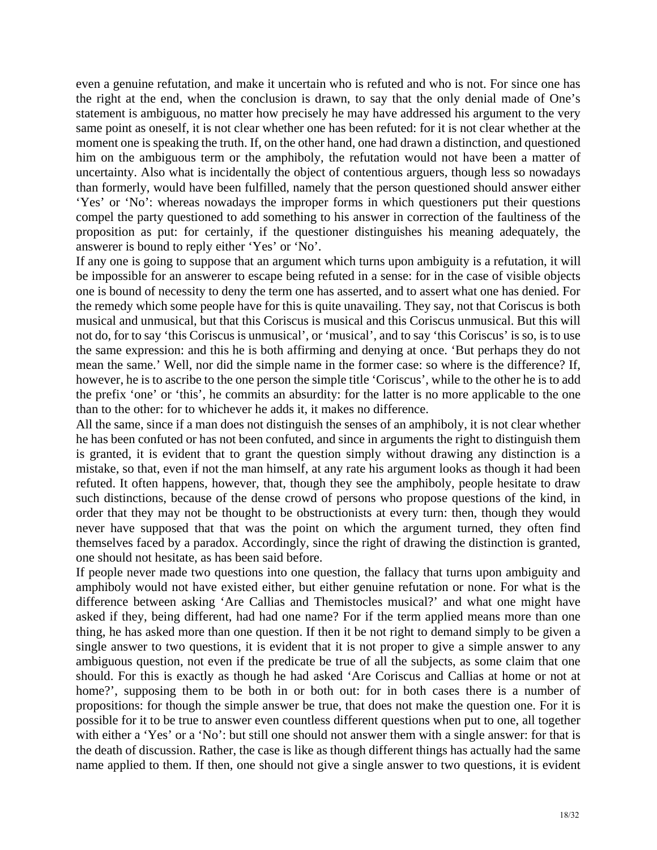even a genuine refutation, and make it uncertain who is refuted and who is not. For since one has the right at the end, when the conclusion is drawn, to say that the only denial made of One's statement is ambiguous, no matter how precisely he may have addressed his argument to the very same point as oneself, it is not clear whether one has been refuted: for it is not clear whether at the moment one is speaking the truth. If, on the other hand, one had drawn a distinction, and questioned him on the ambiguous term or the amphiboly, the refutation would not have been a matter of uncertainty. Also what is incidentally the object of contentious arguers, though less so nowadays than formerly, would have been fulfilled, namely that the person questioned should answer either 'Yes' or 'No': whereas nowadays the improper forms in which questioners put their questions compel the party questioned to add something to his answer in correction of the faultiness of the proposition as put: for certainly, if the questioner distinguishes his meaning adequately, the answerer is bound to reply either 'Yes' or 'No'.

If any one is going to suppose that an argument which turns upon ambiguity is a refutation, it will be impossible for an answerer to escape being refuted in a sense: for in the case of visible objects one is bound of necessity to deny the term one has asserted, and to assert what one has denied. For the remedy which some people have for this is quite unavailing. They say, not that Coriscus is both musical and unmusical, but that this Coriscus is musical and this Coriscus unmusical. But this will not do, for to say 'this Coriscus is unmusical', or 'musical', and to say 'this Coriscus' is so, is to use the same expression: and this he is both affirming and denying at once. 'But perhaps they do not mean the same.' Well, nor did the simple name in the former case: so where is the difference? If, however, he is to ascribe to the one person the simple title 'Coriscus', while to the other he is to add the prefix 'one' or 'this', he commits an absurdity: for the latter is no more applicable to the one than to the other: for to whichever he adds it, it makes no difference.

All the same, since if a man does not distinguish the senses of an amphiboly, it is not clear whether he has been confuted or has not been confuted, and since in arguments the right to distinguish them is granted, it is evident that to grant the question simply without drawing any distinction is a mistake, so that, even if not the man himself, at any rate his argument looks as though it had been refuted. It often happens, however, that, though they see the amphiboly, people hesitate to draw such distinctions, because of the dense crowd of persons who propose questions of the kind, in order that they may not be thought to be obstructionists at every turn: then, though they would never have supposed that that was the point on which the argument turned, they often find themselves faced by a paradox. Accordingly, since the right of drawing the distinction is granted, one should not hesitate, as has been said before.

amphiboly would not have existed either, but either genuine refutation or none. For what is the the death of discussion. Rather, the case is like as though different things has actually had the same name applied to them. If then, one should not give a single answer to two questions, it is evident If people never made two questions into one question, the fallacy that turns upon ambiguity and difference between asking 'Are Callias and Themistocles musical?' and what one might have asked if they, being different, had had one name? For if the term applied means more than one thing, he has asked more than one question. If then it be not right to demand simply to be given a single answer to two questions, it is evident that it is not proper to give a simple answer to any ambiguous question, not even if the predicate be true of all the subjects, as some claim that one should. For this is exactly as though he had asked 'Are Coriscus and Callias at home or not at home?', supposing them to be both in or both out: for in both cases there is a number of propositions: for though the simple answer be true, that does not make the question one. For it is possible for it to be true to answer even countless different questions when put to one, all together with either a 'Yes' or a 'No': but still one should not answer them with a single answer: for that is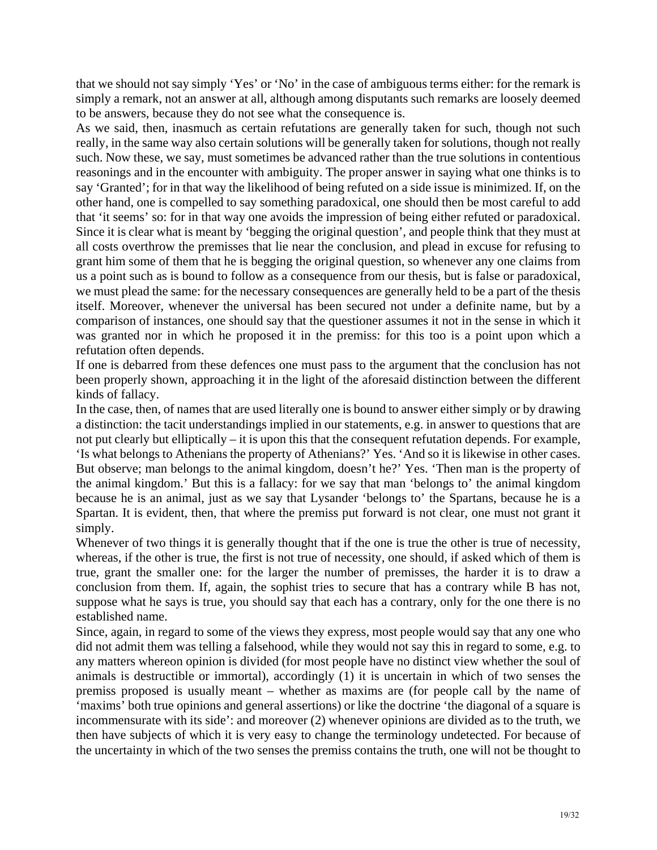that we should not say simply 'Yes' or 'No' in the case of ambiguous terms either: for the remark is simply a remark, not an answer at all, although among disputants such remarks are loosely deemed to be answers, because they do not see what the consequence is.

As we said, then, inasmuch as certain refutations are generally taken for such, though not such really, in the same way also certain solutions will be generally taken for solutions, though not really such. Now these, we say, must sometimes be advanced rather than the true solutions in contentious reasonings and in the encounter with ambiguity. The proper answer in saying what one thinks is to say 'Granted'; for in that way the likelihood of being refuted on a side issue is minimized. If, on the other hand, one is compelled to say something paradoxical, one should then be most careful to add that 'it seems' so: for in that way one avoids the impression of being either refuted or paradoxical. Since it is clear what is meant by 'begging the original question', and people think that they must at all costs overthrow the premisses that lie near the conclusion, and plead in excuse for refusing to grant him some of them that he is begging the original question, so whenever any one claims from us a point such as is bound to follow as a consequence from our thesis, but is false or paradoxical, we must plead the same: for the necessary consequences are generally held to be a part of the thesis itself. Moreover, whenever the universal has been secured not under a definite name, but by a comparison of instances, one should say that the questioner assumes it not in the sense in which it was granted nor in which he proposed it in the premiss: for this too is a point upon which a refutation often depends.

If one is debarred from these defences one must pass to the argument that the conclusion has not been properly shown, approaching it in the light of the aforesaid distinction between the different kinds of fallacy.

But observe; man belongs to the animal kingdom, doesn't he?' Yes. 'Then man is the property of In the case, then, of names that are used literally one is bound to answer either simply or by drawing a distinction: the tacit understandings implied in our statements, e.g. in answer to questions that are not put clearly but elliptically – it is upon this that the consequent refutation depends. For example, 'Is what belongs to Athenians the property of Athenians?' Yes. 'And so it is likewise in other cases. the animal kingdom.' But this is a fallacy: for we say that man 'belongs to' the animal kingdom because he is an animal, just as we say that Lysander 'belongs to' the Spartans, because he is a Spartan. It is evident, then, that where the premiss put forward is not clear, one must not grant it simply.

Whenever of two things it is generally thought that if the one is true the other is true of necessity, whereas, if the other is true, the first is not true of necessity, one should, if asked which of them is true, grant the smaller one: for the larger the number of premisses, the harder it is to draw a conclusion from them. If, again, the sophist tries to secure that has a contrary while B has not, suppose what he says is true, you should say that each has a contrary, only for the one there is no established name.

'maxims' both true opinions and general assertions) or like the doctrine 'the diagonal of a square is the uncertainty in which of the two senses the premiss contains the truth, one will not be thought to Since, again, in regard to some of the views they express, most people would say that any one who did not admit them was telling a falsehood, while they would not say this in regard to some, e.g. to any matters whereon opinion is divided (for most people have no distinct view whether the soul of animals is destructible or immortal), accordingly (1) it is uncertain in which of two senses the premiss proposed is usually meant – whether as maxims are (for people call by the name of incommensurate with its side': and moreover (2) whenever opinions are divided as to the truth, we then have subjects of which it is very easy to change the terminology undetected. For because of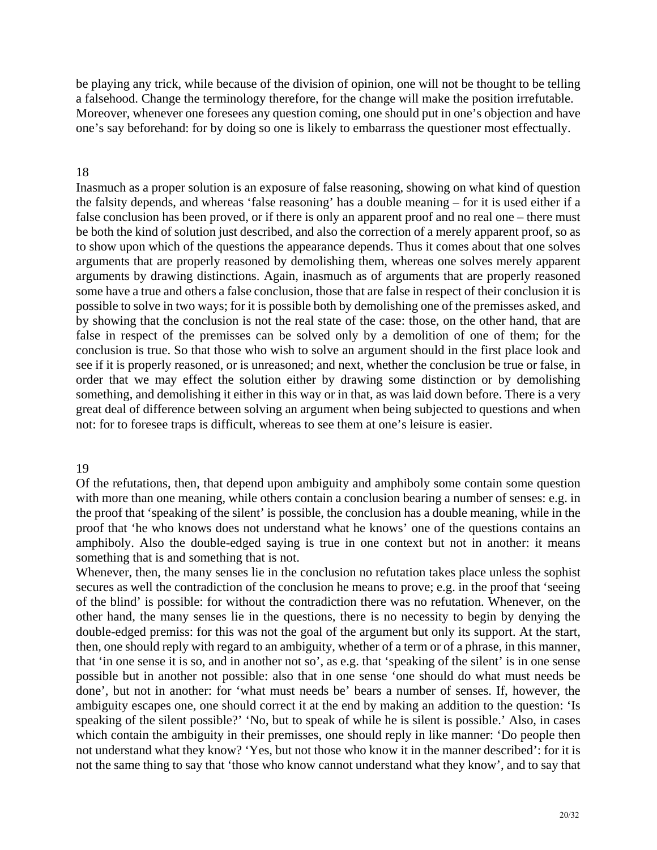be playing any trick, while because of the division of opinion, one will not be thought to be telling a falsehood. Change the terminology therefore, for the change will make the position irrefutable. Moreover, whenever one foresees any question coming, one should put in one's objection and have one's say beforehand: for by doing so one is likely to embarrass the questioner most effectually.

### 18

Inasmuch as a proper solution is an exposure of false reasoning, showing on what kind of question the falsity depends, and whereas 'false reasoning' has a double meaning – for it is used either if a some have a true and others a false conclusion, those that are false in respect of their conclusion it is false conclusion has been proved, or if there is only an apparent proof and no real one – there must be both the kind of solution just described, and also the correction of a merely apparent proof, so as to show upon which of the questions the appearance depends. Thus it comes about that one solves arguments that are properly reasoned by demolishing them, whereas one solves merely apparent arguments by drawing distinctions. Again, inasmuch as of arguments that are properly reasoned possible to solve in two ways; for it is possible both by demolishing one of the premisses asked, and by showing that the conclusion is not the real state of the case: those, on the other hand, that are false in respect of the premisses can be solved only by a demolition of one of them; for the conclusion is true. So that those who wish to solve an argument should in the first place look and see if it is properly reasoned, or is unreasoned; and next, whether the conclusion be true or false, in order that we may effect the solution either by drawing some distinction or by demolishing something, and demolishing it either in this way or in that, as was laid down before. There is a very great deal of difference between solving an argument when being subjected to questions and when not: for to foresee traps is difficult, whereas to see them at one's leisure is easier.

#### 19

the proof that 'speaking of the silent' is possible, the conclusion has a double meaning, while in the proof that 'he who knows does not understand what he knows' one of the questions contains an mphiboly. Also the double-edged saying is true in one context but not in another: it means a something that is and something that is not. Of the refutations, then, that depend upon ambiguity and amphiboly some contain some question with more than one meaning, while others contain a conclusion bearing a number of senses: e.g. in

Whenever, then, the many senses lie in the conclusion no refutation takes place unless the sophist secures as well the contradiction of the conclusion he means to prove; e.g. in the proof that 'seeing of the blind' is possible: for without the contradiction there was no refutation. Whenever, on the other hand, the many senses lie in the questions, there is no necessity to begin by denying the double-edged premiss: for this was not the goal of the argument but only its support. At the start, then, one should reply with regard to an ambiguity, whether of a term or of a phrase, in this manner, that 'in one sense it is so, and in another not so', as e.g. that 'speaking of the silent' is in one sense possible but in another not possible: also that in one sense 'one should do what must needs be done', but not in another: for 'what must needs be' bears a number of senses. If, however, the ambiguity escapes one, one should correct it at the end by making an addition to the question: 'Is speaking of the silent possible?' 'No, but to speak of while he is silent is possible.' Also, in cases which contain the ambiguity in their premisses, one should reply in like manner: 'Do people then not understand what they know? 'Yes, but not those who know it in the manner described': for it is not the same thing to say that 'those who know cannot understand what they know', and to say that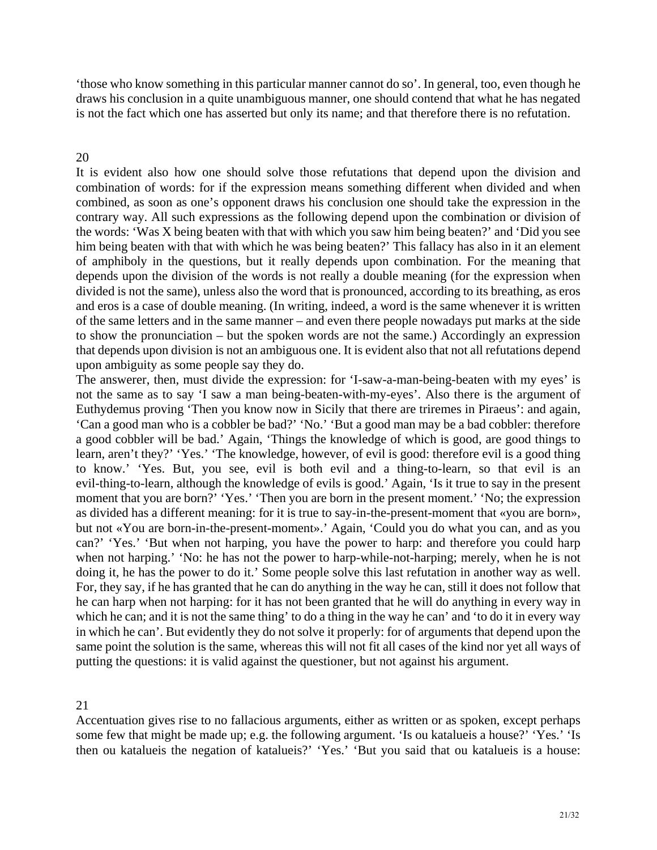'those who know something in this particular manner cannot do so'. In general, too, even though he draws his conclusion in a quite unambiguous manner, one should contend that what he has negated is not the fact which one has asserted but only its name; and that therefore there is no refutation.

# 20

It is evident also how one should solve those refutations that depend upon the division and of amphiboly in the questions, but it really depends upon combination. For the meaning that combination of words: for if the expression means something different when divided and when combined, as soon as one's opponent draws his conclusion one should take the expression in the contrary way. All such expressions as the following depend upon the combination or division of the words: 'Was X being beaten with that with which you saw him being beaten?' and 'Did you see him being beaten with that with which he was being beaten?' This fallacy has also in it an element depends upon the division of the words is not really a double meaning (for the expression when divided is not the same), unless also the word that is pronounced, according to its breathing, as eros and eros is a case of double meaning. (In writing, indeed, a word is the same whenever it is written of the same letters and in the same manner – and even there people nowadays put marks at the side to show the pronunciation – but the spoken words are not the same.) Accordingly an expression that depends upon division is not an ambiguous one. It is evident also that not all refutations depend upon ambiguity as some people say they do.

but not «You are born-in-the-present-moment».' Again, 'Could you do what you can, and as you can?' 'Yes.' 'But when not harping, you have the power to harp: and therefore you could harp when not harping.' 'No: he has not the power to harp-while-not-harping; merely, when he is not doing it, he has the power to do it.' Some people solve this last refutation in another way as well. The answerer, then, must divide the expression: for 'I-saw-a-man-being-beaten with my eyes' is not the same as to say 'I saw a man being-beaten-with-my-eyes'. Also there is the argument of Euthydemus proving 'Then you know now in Sicily that there are triremes in Piraeus': and again, 'Can a good man who is a cobbler be bad?' 'No.' 'But a good man may be a bad cobbler: therefore a good cobbler will be bad.' Again, 'Things the knowledge of which is good, are good things to learn, aren't they?' 'Yes.' 'The knowledge, however, of evil is good: therefore evil is a good thing to know.' 'Yes. But, you see, evil is both evil and a thing-to-learn, so that evil is an evil-thing-to-learn, although the knowledge of evils is good.' Again, 'Is it true to say in the present moment that you are born?' 'Yes.' 'Then you are born in the present moment.' 'No; the expression as divided has a different meaning: for it is true to say-in-the-present-moment that «you are born», For, they say, if he has granted that he can do anything in the way he can, still it does not follow that he can harp when not harping: for it has not been granted that he will do anything in every way in which he can; and it is not the same thing' to do a thing in the way he can' and 'to do it in every way in which he can'. But evidently they do not solve it properly: for of arguments that depend upon the same point the solution is the same, whereas this will not fit all cases of the kind nor yet all ways of putting the questions: it is valid against the questioner, but not against his argument.

21

Accentuation gives rise to no fallacious arguments, either as written or as spoken, except perhaps some few that might be made up; e.g. the following argument. 'Is ou katalueis a house?' 'Yes.' 'Is then ou katalueis the negation of katalueis?' 'Yes.' 'But you said that ou katalueis is a house: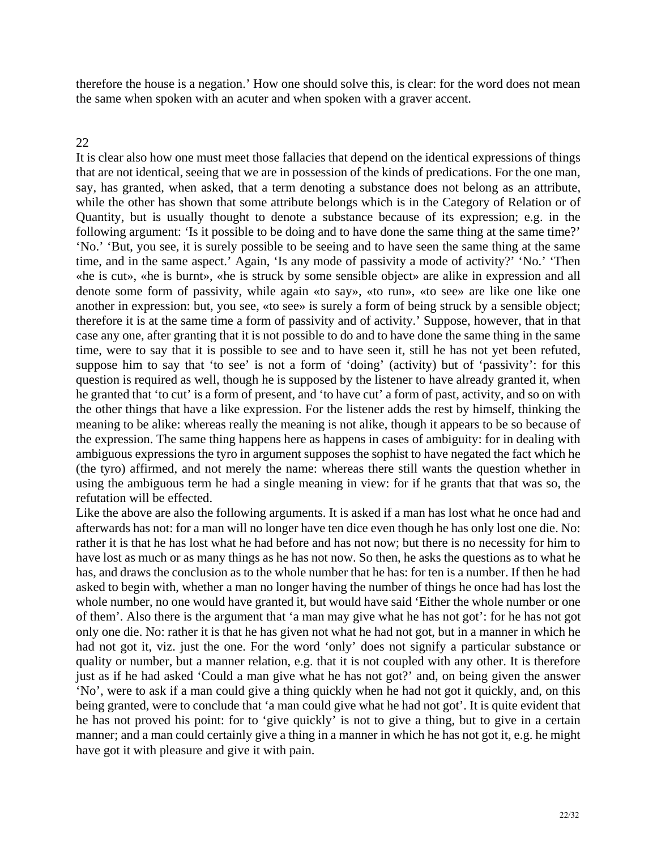therefore the house is a negation.' How one should solve this, is clear: for the word does not mean the same when spoken with an acuter and when spoken with a graver accent.

### 22

the other things that have a like expression. For the listener adds the rest by himself, thinking the meaning to be alike: whereas really the meaning is not alike, though it appears to be so because of the expression. The same thing happens here as happens in cases of ambiguity: for in dealing with ambiguous expressions the tyro in argument supposes the sophist to have negated the fact which he It is clear also how one must meet those fallacies that depend on the identical expressions of things that are not identical, seeing that we are in possession of the kinds of predications. For the one man, say, has granted, when asked, that a term denoting a substance does not belong as an attribute, while the other has shown that some attribute belongs which is in the Category of Relation or of Quantity, but is usually thought to denote a substance because of its expression; e.g. in the following argument: 'Is it possible to be doing and to have done the same thing at the same time?' 'No.' 'But, you see, it is surely possible to be seeing and to have seen the same thing at the same time, and in the same aspect.' Again, 'Is any mode of passivity a mode of activity?' 'No.' 'Then «he is cut», «he is burnt», «he is struck by some sensible object» are alike in expression and all denote some form of passivity, while again «to say», «to run», «to see» are like one like one another in expression: but, you see, «to see» is surely a form of being struck by a sensible object; therefore it is at the same time a form of passivity and of activity.' Suppose, however, that in that case any one, after granting that it is not possible to do and to have done the same thing in the same time, were to say that it is possible to see and to have seen it, still he has not yet been refuted, suppose him to say that 'to see' is not a form of 'doing' (activity) but of 'passivity': for this question is required as well, though he is supposed by the listener to have already granted it, when he granted that 'to cut' is a form of present, and 'to have cut' a form of past, activity, and so on with (the tyro) affirmed, and not merely the name: whereas there still wants the question whether in using the ambiguous term he had a single meaning in view: for if he grants that that was so, the refutation will be effected.

afterwards has not: for a man will no longer have ten dice even though he has only lost one die. No: rather it is that he has lost what he had before and has not now; but there is no necessity for him to have lost as much or as many things as he has not now. So then, he asks the questions as to what he has, and draws the conclusion as to the whole number that he has: for ten is a number. If then he had Like the above are also the following arguments. It is asked if a man has lost what he once had and asked to begin with, whether a man no longer having the number of things he once had has lost the whole number, no one would have granted it, but would have said 'Either the whole number or one of them'. Also there is the argument that 'a man may give what he has not got': for he has not got only one die. No: rather it is that he has given not what he had not got, but in a manner in which he had not got it, viz. just the one. For the word 'only' does not signify a particular substance or quality or number, but a manner relation, e.g. that it is not coupled with any other. It is therefore just as if he had asked 'Could a man give what he has not got?' and, on being given the answer 'No', were to ask if a man could give a thing quickly when he had not got it quickly, and, on this being granted, were to conclude that 'a man could give what he had not got'. It is quite evident that he has not proved his point: for to 'give quickly' is not to give a thing, but to give in a certain manner; and a man could certainly give a thing in a manner in which he has not got it, e.g. he might have got it with pleasure and give it with pain.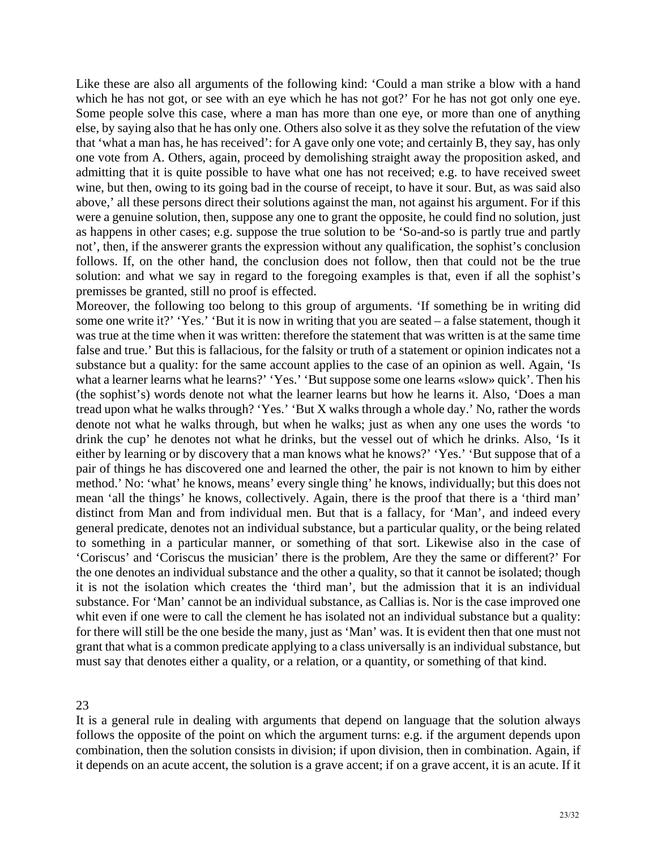Like these are also all arguments of the following kind: 'Could a man strike a blow with a hand which he has not got, or see with an eye which he has not got?' For he has not got only one eye. Some people solve this case, where a man has more than one eye, or more than one of anything else, by saying also that he has only one. Others also solve it as they solve the refutation of the view that 'what a man has, he has received': for A gave only one vote; and certainly B, they say, has only one vote from A. Others, again, proceed by demolishing straight away the proposition asked, and admitting that it is quite possible to have what one has not received; e.g. to have received sweet wine, but then, owing to its going bad in the course of receipt, to have it sour. But, as was said also above,' all these persons direct their solutions against the man, not against his argument. For if this were a genuine solution, then, suppose any one to grant the opposite, he could find no solution, just as happens in other cases; e.g. suppose the true solution to be 'So-and-so is partly true and partly not', then, if the answerer grants the expression without any qualification, the sophist's conclusion follows. If, on the other hand, the conclusion does not follow, then that could not be the true solution: and what we say in regard to the foregoing examples is that, even if all the sophist's premisses be granted, still no proof is effected.

method.' No: 'what' he knows, means' every single thing' he knows, individually; but this does not Moreover, the following too belong to this group of arguments. 'If something be in writing did some one write it?' 'Yes.' 'But it is now in writing that you are seated – a false statement, though it was true at the time when it was written: therefore the statement that was written is at the same time false and true.' But this is fallacious, for the falsity or truth of a statement or opinion indicates not a substance but a quality: for the same account applies to the case of an opinion as well. Again, 'Is what a learner learns what he learns?' 'Yes.' 'But suppose some one learns «slow» quick'. Then his (the sophist's) words denote not what the learner learns but how he learns it. Also, 'Does a man tread upon what he walks through? 'Yes.' 'But X walks through a whole day.' No, rather the words denote not what he walks through, but when he walks; just as when any one uses the words 'to drink the cup' he denotes not what he drinks, but the vessel out of which he drinks. Also, 'Is it either by learning or by discovery that a man knows what he knows?' 'Yes.' 'But suppose that of a pair of things he has discovered one and learned the other, the pair is not known to him by either mean 'all the things' he knows, collectively. Again, there is the proof that there is a 'third man' distinct from Man and from individual men. But that is a fallacy, for 'Man', and indeed every general predicate, denotes not an individual substance, but a particular quality, or the being related to something in a particular manner, or something of that sort. Likewise also in the case of 'Coriscus' and 'Coriscus the musician' there is the problem, Are they the same or different?' For the one denotes an individual substance and the other a quality, so that it cannot be isolated; though it is not the isolation which creates the 'third man', but the admission that it is an individual substance. For 'Man' cannot be an individual substance, as Callias is. Nor is the case improved one whit even if one were to call the clement he has isolated not an individual substance but a quality: for there will still be the one beside the many, just as 'Man' was. It is evident then that one must not grant that what is a common predicate applying to a class universally is an individual substance, but must say that denotes either a quality, or a relation, or a quantity, or something of that kind.

23

It is a general rule in dealing with arguments that depend on language that the solution always follows the opposite of the point on which the argument turns: e.g. if the argument depends upon combination, then the solution consists in division; if upon division, then in combination. Again, if it depends on an acute accent, the solution is a grave accent; if on a grave accent, it is an acute. If it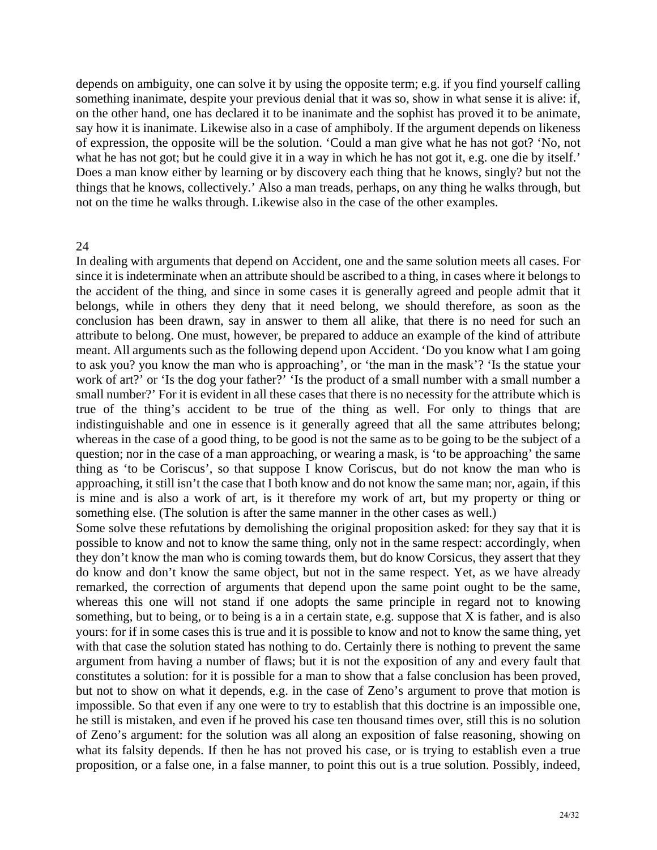depends on ambiguity, one can solve it by using the opposite term; e.g. if you find yourself calling something inanimate, despite your previous denial that it was so, show in what sense it is alive: if, on the other hand, one has declared it to be inanimate and the sophist has proved it to be animate, say how it is inanimate. Likewise also in a case of amphiboly. If the argument depends on likeness of expression, the opposite will be the solution. 'Could a man give what he has not got? 'No, not what he has not got; but he could give it in a way in which he has not got it, e.g. one die by itself.' Does a man know either by learning or by discovery each thing that he knows, singly? but not the things that he knows, collectively.' Also a man treads, perhaps, on any thing he walks through, but not on the time he walks through. Likewise also in the case of the other examples.

### 24

In dealing with arguments that depend on Accident, one and the same solution meets all cases. For since it is indeterminate when an attribute should be ascribed to a thing, in cases where it belongs to the accident of the thing, and since in some cases it is generally agreed and people admit that it belongs, while in others they deny that it need belong, we should therefore, as soon as the conclusion has been drawn, say in answer to them all alike, that there is no need for such an attribute to belong. One must, however, be prepared to adduce an example of the kind of attribute meant. All arguments such as the following depend upon Accident. 'Do you know what I am going to ask you? you know the man who is approaching', or 'the man in the mask'? 'Is the statue your work of art?' or 'Is the dog your father?' 'Is the product of a small number with a small number a small number?' For it is evident in all these cases that there is no necessity for the attribute which is true of the thing's accident to be true of the thing as well. For only to things that are indistinguishable and one in essence is it generally agreed that all the same attributes belong; whereas in the case of a good thing, to be good is not the same as to be going to be the subject of a question; nor in the case of a man approaching, or wearing a mask, is 'to be approaching' the same thing as 'to be Coriscus', so that suppose I know Coriscus, but do not know the man who is approaching, it still isn't the case that I both know and do not know the same man; nor, again, if this is mine and is also a work of art, is it therefore my work of art, but my property or thing or something else. (The solution is after the same manner in the other cases as well.)

with that case the solution stated has nothing to do. Certainly there is nothing to prevent the same argument from having a number of flaws; but it is not the exposition of any and every fault that constitutes a solution: for it is possible for a man to show that a false conclusion has been proved, but not to show on what it depends, e.g. in the case of Zeno's argument to prove that motion is Some solve these refutations by demolishing the original proposition asked: for they say that it is possible to know and not to know the same thing, only not in the same respect: accordingly, when they don't know the man who is coming towards them, but do know Corsicus, they assert that they do know and don't know the same object, but not in the same respect. Yet, as we have already remarked, the correction of arguments that depend upon the same point ought to be the same, whereas this one will not stand if one adopts the same principle in regard not to knowing something, but to being, or to being is a in a certain state, e.g. suppose that X is father, and is also yours: for if in some cases this is true and it is possible to know and not to know the same thing, yet impossible. So that even if any one were to try to establish that this doctrine is an impossible one, he still is mistaken, and even if he proved his case ten thousand times over, still this is no solution of Zeno's argument: for the solution was all along an exposition of false reasoning, showing on what its falsity depends. If then he has not proved his case, or is trying to establish even a true proposition, or a false one, in a false manner, to point this out is a true solution. Possibly, indeed,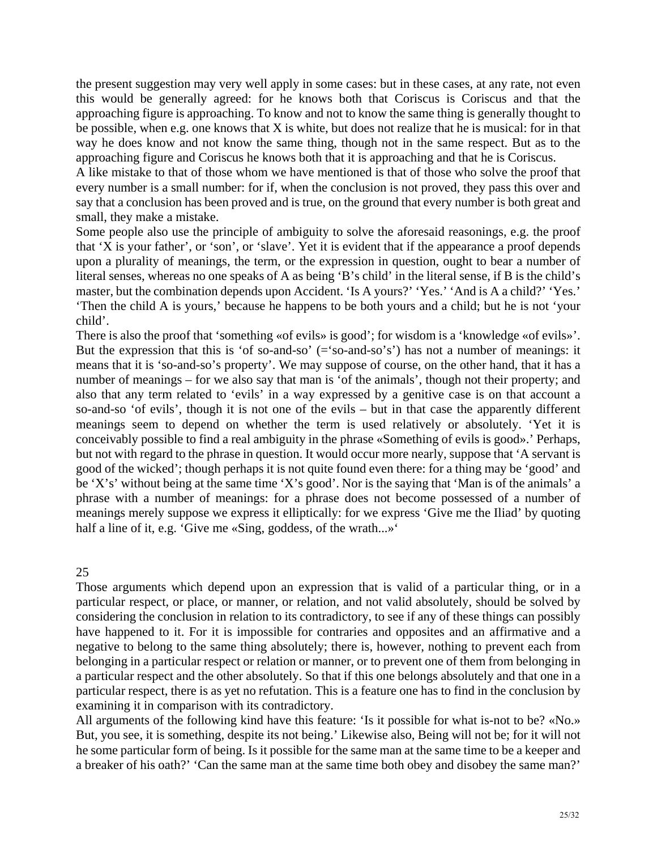the present suggestion may very well apply in some cases: but in these cases, at any rate, not even this would be generally agreed: for he knows both that Coriscus is Coriscus and that the approaching figure is approaching. To know and not to know the same thing is generally thought to be possible, when e.g. one knows that X is white, but does not realize that he is musical: for in that way he does know and not know the same thing, though not in the same respect. But as to the approaching figure and Coriscus he knows both that it is approaching and that he is Coriscus.

A like mistake to that of those whom we have mentioned is that of those who solve the proof that every number is a small number: for if, when the conclusion is not proved, they pass this over and say that a conclusion has been proved and is true, on the ground that every number is both great and small, they make a mistake.

Some people also use the principle of ambiguity to solve the aforesaid reasonings, e.g. the proof that 'X is your father', or 'son', or 'slave'. Yet it is evident that if the appearance a proof depends upon a plurality of meanings, the term, or the expression in question, ought to bear a number of literal senses, whereas no one speaks of A as being 'B's child' in the literal sense, if B is the child's master, but the combination depends upon Accident. 'Is A yours?' 'Yes.' 'And is A a child?' 'Yes.' 'Then the child A is yours,' because he happens to be both yours and a child; but he is not 'your child'.

There is also the proof that 'something «of evils» is good'; for wisdom is a 'knowledge «of evils»'. But the expression that this is 'of so-and-so' ( $=$ 'so-and-so's') has not a number of meanings: it means that it is 'so-and-so's property'. We may suppose of course, on the other hand, that it has a number of meanings – for we also say that man is 'of the animals', though not their property; and also that any term related to 'evils' in a way expressed by a genitive case is on that account a so-and-so 'of evils', though it is not one of the evils – but in that case the apparently different meanings seem to depend on whether the term is used relatively or absolutely. 'Yet it is conceivably possible to find a real ambiguity in the phrase «Something of evils is good».' Perhaps, but not with regard to the phrase in question. It would occur more nearly, suppose that 'A servant is good of the wicked'; though perhaps it is not quite found even there: for a thing may be 'good' and be 'X's' without being at the same time 'X's good'. Nor is the saying that 'Man is of the animals' a phrase with a number of meanings: for a phrase does not become possessed of a number of meanings merely suppose we express it elliptically: for we express 'Give me the Iliad' by quoting half a line of it, e.g. 'Give me «Sing, goddess, of the wrath...»'

25

have happened to it. For it is impossible for contraries and opposites and an affirmative and a particular respect, there is as yet no refutation. This is a feature one has to find in the conclusion by Those arguments which depend upon an expression that is valid of a particular thing, or in a particular respect, or place, or manner, or relation, and not valid absolutely, should be solved by considering the conclusion in relation to its contradictory, to see if any of these things can possibly negative to belong to the same thing absolutely; there is, however, nothing to prevent each from belonging in a particular respect or relation or manner, or to prevent one of them from belonging in a particular respect and the other absolutely. So that if this one belongs absolutely and that one in a examining it in comparison with its contradictory.

All arguments of the following kind have this feature: 'Is it possible for what is-not to be? «No.» But, you see, it is something, despite its not being.' Likewise also, Being will not be; for it will not he some particular form of being. Is it possible for the same man at the same time to be a keeper and a breaker of his oath?' 'Can the same man at the same time both obey and disobey the same man?'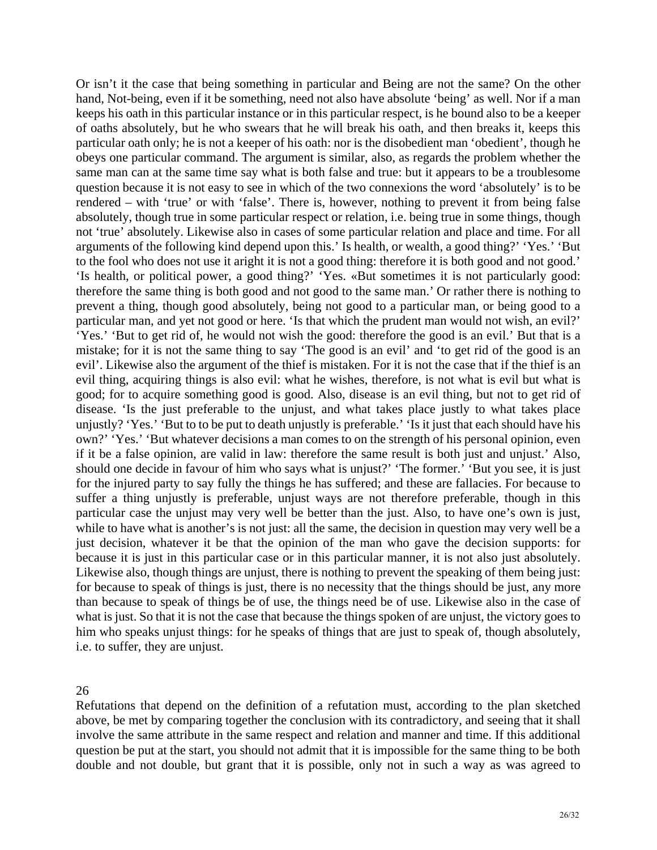Or isn't it the case that being something in particular and Being are not the same? On the other hand, Not-being, even if it be something, need not also have absolute 'being' as well. Nor if a man particular man, and yet not good or here. 'Is that which the prudent man would not wish, an evil?' 'Yes.' 'But to get rid of, he would not wish the good: therefore the good is an evil.' But that is a mistake; for it is not the same thing to say 'The good is an evil' and 'to get rid of the good is an evil'. Likewise also the argument of the thief is mistaken. For it is not the case that if the thief is an suffer a thing unjustly is preferable, unjust ways are not therefore preferable, though in this keeps his oath in this particular instance or in this particular respect, is he bound also to be a keeper of oaths absolutely, but he who swears that he will break his oath, and then breaks it, keeps this particular oath only; he is not a keeper of his oath: nor is the disobedient man 'obedient', though he obeys one particular command. The argument is similar, also, as regards the problem whether the same man can at the same time say what is both false and true: but it appears to be a troublesome question because it is not easy to see in which of the two connexions the word 'absolutely' is to be rendered – with 'true' or with 'false'. There is, however, nothing to prevent it from being false absolutely, though true in some particular respect or relation, i.e. being true in some things, though not 'true' absolutely. Likewise also in cases of some particular relation and place and time. For all arguments of the following kind depend upon this.' Is health, or wealth, a good thing?' 'Yes.' 'But to the fool who does not use it aright it is not a good thing: therefore it is both good and not good.' 'Is health, or political power, a good thing?' 'Yes. «But sometimes it is not particularly good: therefore the same thing is both good and not good to the same man.' Or rather there is nothing to prevent a thing, though good absolutely, being not good to a particular man, or being good to a evil thing, acquiring things is also evil: what he wishes, therefore, is not what is evil but what is good; for to acquire something good is good. Also, disease is an evil thing, but not to get rid of disease. 'Is the just preferable to the unjust, and what takes place justly to what takes place unjustly? 'Yes.' 'But to to be put to death unjustly is preferable.' 'Is it just that each should have his own?' 'Yes.' 'But whatever decisions a man comes to on the strength of his personal opinion, even if it be a false opinion, are valid in law: therefore the same result is both just and unjust.' Also, should one decide in favour of him who says what is unjust?' 'The former.' 'But you see, it is just for the injured party to say fully the things he has suffered; and these are fallacies. For because to particular case the unjust may very well be better than the just. Also, to have one's own is just, while to have what is another's is not just: all the same, the decision in question may very well be a just decision, whatever it be that the opinion of the man who gave the decision supports: for because it is just in this particular case or in this particular manner, it is not also just absolutely. Likewise also, though things are unjust, there is nothing to prevent the speaking of them being just: for because to speak of things is just, there is no necessity that the things should be just, any more than because to speak of things be of use, the things need be of use. Likewise also in the case of what is just. So that it is not the case that because the things spoken of are unjust, the victory goes to him who speaks unjust things: for he speaks of things that are just to speak of, though absolutely, i.e. to suffer, they are unjust.

26

Refutations that depend on the definition of a refutation must, according to the plan sketched above, be met by comparing together the conclusion with its contradictory, and seeing that it shall involve the same attribute in the same respect and relation and manner and time. If this additional question be put at the start, you should not admit that it is impossible for the same thing to be both double and not double, but grant that it is possible, only not in such a way as was agreed to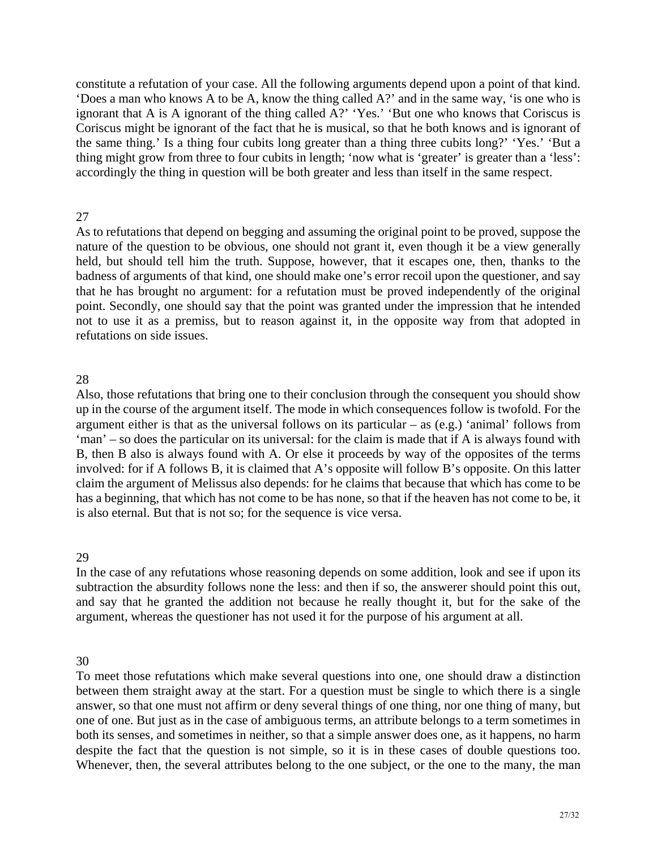constitute a refutation of your case. All the following arguments depend upon a point of that kind. 'Does a man who knows A to be A, know the thing called A?' and in the same way, 'is one who is ignorant that A is A ignorant of the thing called A?' 'Yes.' 'But one who knows that Coriscus is Coriscus might be ignorant of the fact that he is musical, so that he both knows and is ignorant of the same thing.' Is a thing four cubits long greater than a thing three cubits long?' 'Yes.' 'But a thing might grow from three to four cubits in length; 'now what is 'greater' is greater than a 'less': accordingly the thing in question will be both greater and less than itself in the same respect.

# 27

As to refutations that depend on begging and assuming the original point to be proved, suppose the nature of the question to be obvious, one should not grant it, even though it be a view generally held, but should tell him the truth. Suppose, however, that it escapes one, then, thanks to the badness of arguments of that kind, one should make one's error recoil upon the questioner, and say that he has brought no argument: for a refutation must be proved independently of the original point. Secondly, one should say that the point was granted under the impression that he intended not to use it as a premiss, but to reason against it, in the opposite way from that adopted in refutations on side issues.

# 28

Also, those refutations that bring one to their conclusion through the consequent you should show up in the course of the argument itself. The mode in which consequences follow is twofold. For the argument either is that as the universal follows on its particular – as (e.g.) 'animal' follows from 'man' – so does the particular on its universal: for the claim is made that if A is always found with B, then B also is always found with A. Or else it proceeds by way of the opposites of the terms involved: for if A follows B, it is claimed that A's opposite will follow B's opposite. On this latter claim the argument of Melissus also depends: for he claims that because that which has come to be has a beginning, that which has not come to be has none, so that if the heaven has not come to be, it is also eternal. But that is not so; for the sequence is vice versa.

# 29

In the case of any refutations whose reasoning depends on some addition, look and see if upon its subtraction the absurdity follows none the less: and then if so, the answerer should point this out, and say that he granted the addition not because he really thought it, but for the sake of the argument, whereas the questioner has not used it for the purpose of his argument at all.

# 30

To meet those refutations which make several questions into one, one should draw a distinction between them straight away at the start. For a question must be single to which there is a single nswer, so that one must not affirm or deny several things of one thing, nor one thing of many, but a one of one. But just as in the case of ambiguous terms, an attribute belongs to a term sometimes in both its senses, and sometimes in neither, so that a simple answer does one, as it happens, no harm despite the fact that the question is not simple, so it is in these cases of double questions too. Whenever, then, the several attributes belong to the one subject, or the one to the many, the man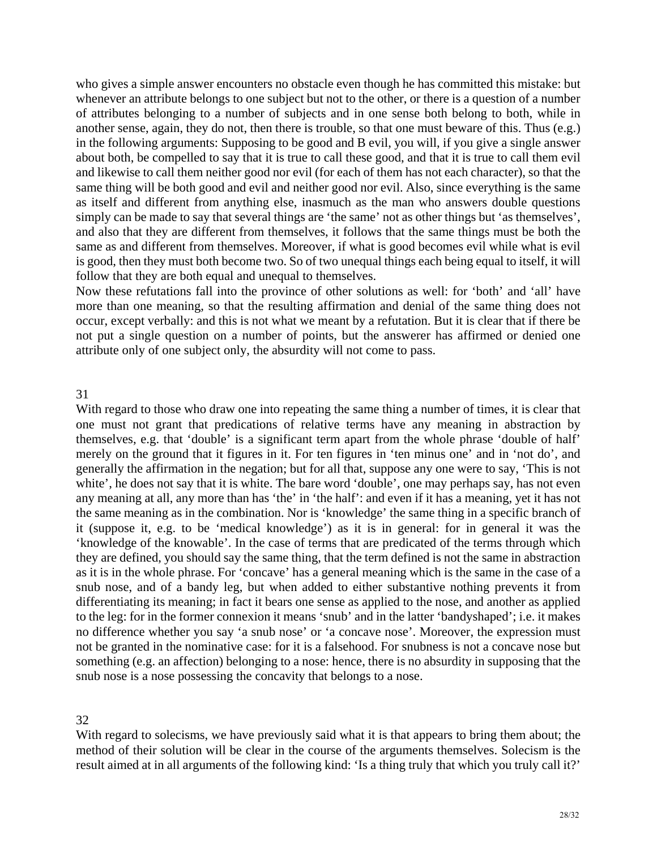who gives a simple answer encounters no obstacle even though he has committed this mistake: but whenever an attribute belongs to one subject but not to the other, or there is a question of a number of attributes belonging to a number of subjects and in one sense both belong to both, while in another sense, again, they do not, then there is trouble, so that one must beware of this. Thus (e.g.) in the following arguments: Supposing to be good and B evil, you will, if you give a single answer about both, be compelled to say that it is true to call these good, and that it is true to call them evil and likewise to call them neither good nor evil (for each of them has not each character), so that the same thing will be both good and evil and neither good nor evil. Also, since everything is the same as itself and different from anything else, inasmuch as the man who answers double questions simply can be made to say that several things are 'the same' not as other things but 'as themselves', and also that they are different from themselves, it follows that the same things must be both the same as and different from themselves. Moreover, if what is good becomes evil while what is evil is good, then they must both become two. So of two unequal things each being equal to itself, it will follow that they are both equal and unequal to themselves.

occur, except verbally: and this is not what we meant by a refutation. But it is clear that if there be not put a single question on a number of points, but the answerer has affirmed or denied one attribute only of one subject only, the absurdity will not come to pass. Now these refutations fall into the province of other solutions as well: for 'both' and 'all' have more than one meaning, so that the resulting affirmation and denial of the same thing does not

#### 31

one must not grant that predications of relative terms have any meaning in abstraction by themselves, e.g. that 'double' is a significant term apart from the whole phrase 'double of half' merely on the ground that it figures in it. For ten figures in 'ten minus one' and in 'not do', and generally the affirmation in the negation; but for all that, suppose any one were to say, 'This is not With regard to those who draw one into repeating the same thing a number of times, it is clear that white', he does not say that it is white. The bare word 'double', one may perhaps say, has not even any meaning at all, any more than has 'the' in 'the half': and even if it has a meaning, yet it has not the same meaning as in the combination. Nor is 'knowledge' the same thing in a specific branch of it (suppose it, e.g. to be 'medical knowledge') as it is in general: for in general it was the 'knowledge of the knowable'. In the case of terms that are predicated of the terms through which they are defined, you should say the same thing, that the term defined is not the same in abstraction as it is in the whole phrase. For 'concave' has a general meaning which is the same in the case of a snub nose, and of a bandy leg, but when added to either substantive nothing prevents it from differentiating its meaning; in fact it bears one sense as applied to the nose, and another as applied to the leg: for in the former connexion it means 'snub' and in the latter 'bandyshaped'; i.e. it makes no difference whether you say 'a snub nose' or 'a concave nose'. Moreover, the expression must not be granted in the nominative case: for it is a falsehood. For snubness is not a concave nose but something (e.g. an affection) belonging to a nose: hence, there is no absurdity in supposing that the snub nose is a nose possessing the concavity that belongs to a nose.

#### 32

With regard to solecisms, we have previously said what it is that appears to bring them about; the method of their solution will be clear in the course of the arguments themselves. Solecism is the result aimed at in all arguments of the following kind: 'Is a thing truly that which you truly call it?'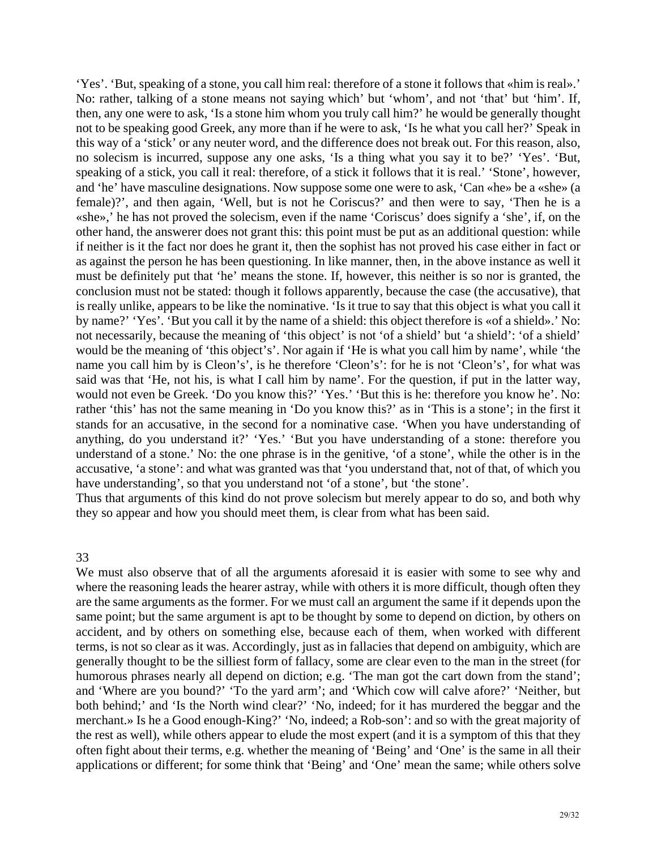'Yes'. 'But, speaking of a stone, you call him real: therefore of a stone it follows that «him is real».' No: rather, talking of a stone means not saying which' but 'whom', and not 'that' but 'him'. If, speaking of a stick, you call it real: therefore, of a stick it follows that it is real.' 'Stone', however, and 'he' have masculine designations. Now suppose some one were to ask, 'Can «he» be a «she» (a female)?', and then again, 'Well, but is not he Coriscus?' and then were to say, 'Then he is a «she»,' he has not proved the solecism, even if the name 'Coriscus' does signify a 'she', if, on the then, any one were to ask, 'Is a stone him whom you truly call him?' he would be generally thought not to be speaking good Greek, any more than if he were to ask, 'Is he what you call her?' Speak in this way of a 'stick' or any neuter word, and the difference does not break out. For this reason, also, no solecism is incurred, suppose any one asks, 'Is a thing what you say it to be?' 'Yes'. 'But, other hand, the answerer does not grant this: this point must be put as an additional question: while if neither is it the fact nor does he grant it, then the sophist has not proved his case either in fact or as against the person he has been questioning. In like manner, then, in the above instance as well it must be definitely put that 'he' means the stone. If, however, this neither is so nor is granted, the conclusion must not be stated: though it follows apparently, because the case (the accusative), that is really unlike, appears to be like the nominative. 'Is it true to say that this object is what you call it by name?' 'Yes'. 'But you call it by the name of a shield: this object therefore is «of a shield».' No: not necessarily, because the meaning of 'this object' is not 'of a shield' but 'a shield': 'of a shield' would be the meaning of 'this object's'. Nor again if 'He is what you call him by name', while 'the name you call him by is Cleon's', is he therefore 'Cleon's': for he is not 'Cleon's', for what was said was that 'He, not his, is what I call him by name'. For the question, if put in the latter way, would not even be Greek. 'Do you know this?' 'Yes.' 'But this is he: therefore you know he'. No: rather 'this' has not the same meaning in 'Do you know this?' as in 'This is a stone'; in the first it stands for an accusative, in the second for a nominative case. 'When you have understanding of anything, do you understand it?' 'Yes.' 'But you have understanding of a stone: therefore you understand of a stone.' No: the one phrase is in the genitive, 'of a stone', while the other is in the accusative, 'a stone': and what was granted was that 'you understand that, not of that, of which you have understanding', so that you understand not 'of a stone', but 'the stone'.

Thus that arguments of this kind do not prove solecism but merely appear to do so, and both why they so appear and how you should meet them, is clear from what has been said.

# 33

We must also observe that of all the arguments aforesaid it is easier with some to see why and where the reasoning leads the hearer astray, while with others it is more difficult, though often they are the same arguments as the former. For we must call an argument the same if it depends upon the same point; but the same argument is apt to be thought by some to depend on diction, by others on accident, and by others on something else, because each of them, when worked with different terms, is not so clear as it was. Accordingly, just as in fallacies that depend on ambiguity, which are generally thought to be the silliest form of fallacy, some are clear even to the man in the street (for humorous phrases nearly all depend on diction; e.g. 'The man got the cart down from the stand'; and 'Where are you bound?' 'To the yard arm'; and 'Which cow will calve afore?' 'Neither, but both behind;' and 'Is the North wind clear?' 'No, indeed; for it has murdered the beggar and the merchant.» Is he a Good enough-King?' 'No, indeed; a Rob-son': and so with the great majority of the rest as well), while others appear to elude the most expert (and it is a symptom of this that they often fight about their terms, e.g. whether the meaning of 'Being' and 'One' is the same in all their applications or different; for some think that 'Being' and 'One' mean the same; while others solve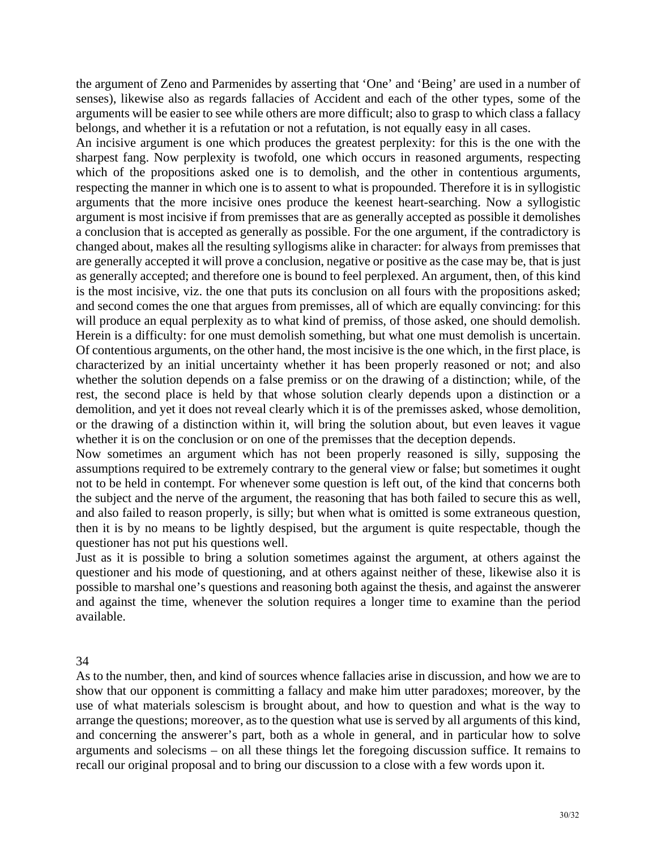the argument of Zeno and Parmenides by asserting that 'One' and 'Being' are used in a number of senses), likewise also as regards fallacies of Accident and each of the other types, some of the arguments will be easier to see while others are more difficult; also to grasp to which class a fallacy belongs, and whether it is a refutation or not a refutation, is not equally easy in all cases.

An incisive argument is one which produces the greatest perplexity: for this is the one with the sharpest fang. Now perplexity is twofold, one which occurs in reasoned arguments, respecting which of the propositions asked one is to demolish, and the other in contentious arguments, respecting the manner in which one is to assent to what is propounded. Therefore it is in syllogistic arguments that the more incisive ones produce the keenest heart-searching. Now a syllogistic argument is most incisive if from premisses that are as generally accepted as possible it demolishes a conclusion that is accepted as generally as possible. For the one argument, if the contradictory is changed about, makes all the resulting syllogisms alike in character: for always from premisses that are generally accepted it will prove a conclusion, negative or positive as the case may be, that is just as generally accepted; and therefore one is bound to feel perplexed. An argument, then, of this kind is the most incisive, viz. the one that puts its conclusion on all fours with the propositions asked; and second comes the one that argues from premisses, all of which are equally convincing: for this will produce an equal perplexity as to what kind of premiss, of those asked, one should demolish. Of contentious arguments, on the other hand, the most incisive is the one which, in the first place, is haracterized by an initial uncertainty whether it has been properly reasoned or not; and also c whether the solution depends on a false premiss or on the drawing of a distinction; while, of the rest, the second place is held by that whose solution clearly depends upon a distinction or a Herein is a difficulty: for one must demolish something, but what one must demolish is uncertain. demolition, and yet it does not reveal clearly which it is of the premisses asked, whose demolition, or the drawing of a distinction within it, will bring the solution about, but even leaves it vague whether it is on the conclusion or on one of the premisses that the deception depends.

Now sometimes an argument which has not been properly reasoned is silly, supposing the assumptions required to be extremely contrary to the general view or false; but sometimes it ought not to be held in contempt. For whenever some question is left out, of the kind that concerns both the subject and the nerve of the argument, the reasoning that has both failed to secure this as well, and also failed to reason properly, is silly; but when what is omitted is some extraneous question, then it is by no means to be lightly despised, but the argument is quite respectable, though the questioner has not put his questions well.

Just as it is possible to bring a solution sometimes against the argument, at others against the questioner and his mode of questioning, and at others against neither of these, likewise also it is possible to marshal one's questions and reasoning both against the thesis, and against the answerer and against the time, whenever the solution requires a longer time to examine than the period available.

# 34

As to the number, then, and kind of sources whence fallacies arise in discussion, and how we are to show that our opponent is committing a fallacy and make him utter paradoxes; moreover, by the use of what materials solescism is brought about, and how to question and what is the way to arrange the questions; moreover, as to the question what use is served by all arguments of this kind, and concerning the answerer's part, both as a whole in general, and in particular how to solve arguments and solecisms – on all these things let the foregoing discussion suffice. It remains to recall our original proposal and to bring our discussion to a close with a few words upon it.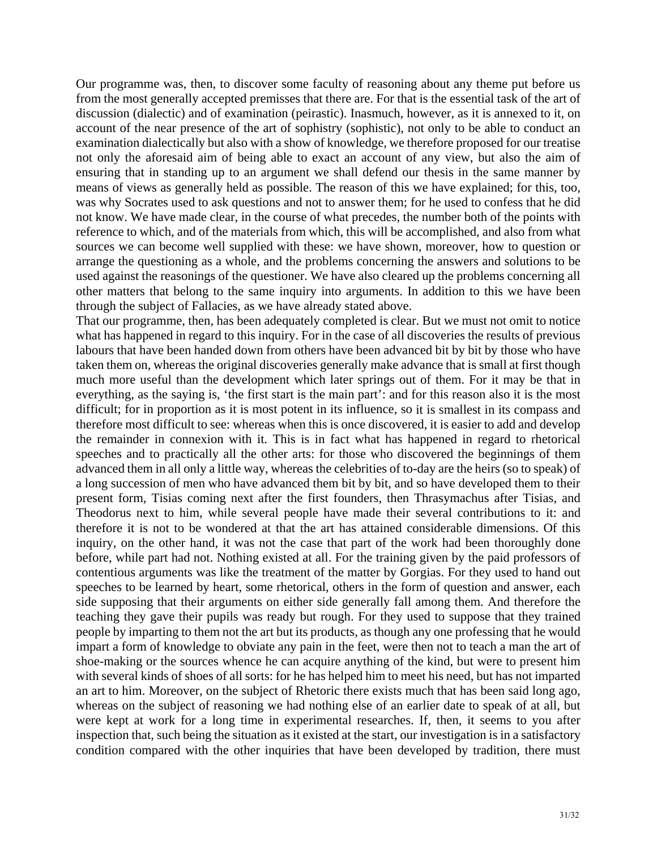Our programme was, then, to discover some faculty of reasoning about any theme put before us from the most generally accepted premisses that there are. For that is the essential task of the art of discussion (dialectic) and of examination (peirastic). Inasmuch, however, as it is annexed to it, on account of the near presence of the art of sophistry (sophistic), not only to be able to conduct an examination dialectically but also with a show of knowledge, we therefore proposed for our treatise not only the aforesaid aim of being able to exact an account of any view, but also the aim of ensuring that in standing up to an argument we shall defend our thesis in the same manner by means of views as generally held as possible. The reason of this we have explained; for this, too, was why Socrates used to ask questions and not to answer them; for he used to confess that he did not know. We have made clear, in the course of what precedes, the number both of the points with reference to which, and of the materials from which, this will be accomplished, and also from what sources we can become well supplied with these: we have shown, moreover, how to question or arrange the questioning as a whole, and the problems concerning the answers and solutions to be used against the reasonings of the questioner. We have also cleared up the problems concerning all other matters that belong to the same inquiry into arguments. In addition to this we have been through the subject of Fallacies, as we have already stated above.

difficult; for in proportion as it is most potent in its influence, so it is smallest in its compass and a long succession of men who have advanced them bit by bit, and so have developed them to their present form, Tisias coming next after the first founders, then Thrasymachus after Tisias, and Theodorus next to him, while several people have made their several contributions to it: and therefore it is not to be wondered at that the art has attained considerable dimensions. Of this impart a form of knowledge to obviate any pain in the feet, were then not to teach a man the art of That our programme, then, has been adequately completed is clear. But we must not omit to notice what has happened in regard to this inquiry. For in the case of all discoveries the results of previous labours that have been handed down from others have been advanced bit by bit by those who have taken them on, whereas the original discoveries generally make advance that is small at first though much more useful than the development which later springs out of them. For it may be that in everything, as the saying is, 'the first start is the main part': and for this reason also it is the most therefore most difficult to see: whereas when this is once discovered, it is easier to add and develop the remainder in connexion with it. This is in fact what has happened in regard to rhetorical speeches and to practically all the other arts: for those who discovered the beginnings of them advanced them in all only a little way, whereas the celebrities of to-day are the heirs (so to speak) of inquiry, on the other hand, it was not the case that part of the work had been thoroughly done before, while part had not. Nothing existed at all. For the training given by the paid professors of contentious arguments was like the treatment of the matter by Gorgias. For they used to hand out speeches to be learned by heart, some rhetorical, others in the form of question and answer, each side supposing that their arguments on either side generally fall among them. And therefore the teaching they gave their pupils was ready but rough. For they used to suppose that they trained people by imparting to them not the art but its products, as though any one professing that he would shoe-making or the sources whence he can acquire anything of the kind, but were to present him with several kinds of shoes of all sorts: for he has helped him to meet his need, but has not imparted an art to him. Moreover, on the subject of Rhetoric there exists much that has been said long ago, whereas on the subject of reasoning we had nothing else of an earlier date to speak of at all, but were kept at work for a long time in experimental researches. If, then, it seems to you after inspection that, such being the situation as it existed at the start, our investigation is in a satisfactory condition compared with the other inquiries that have been developed by tradition, there must